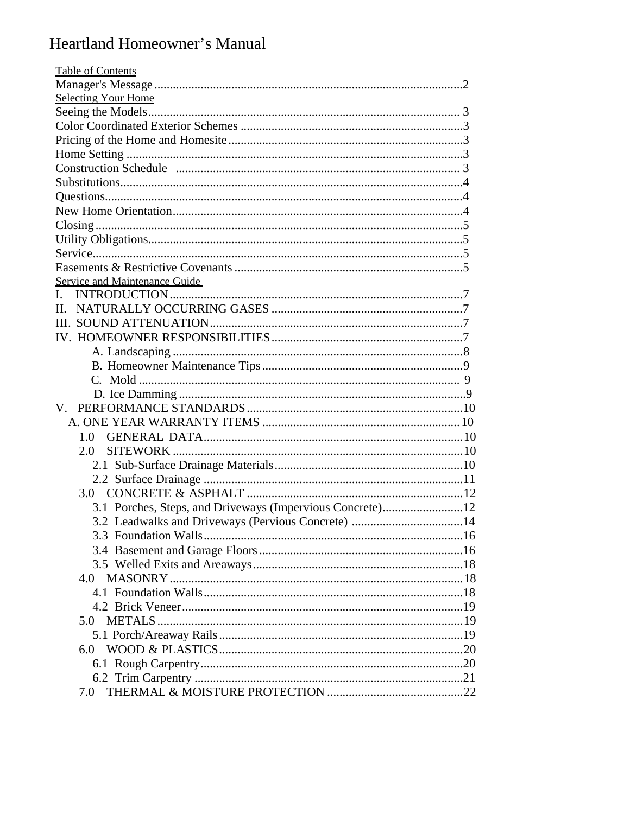# Heartland Homeowner's Manual

| <b>Table of Contents</b>                                  |
|-----------------------------------------------------------|
|                                                           |
| <b>Selecting Your Home</b>                                |
|                                                           |
|                                                           |
|                                                           |
|                                                           |
|                                                           |
|                                                           |
|                                                           |
|                                                           |
|                                                           |
|                                                           |
|                                                           |
|                                                           |
| Service and Maintenance Guide                             |
| L                                                         |
| $\Pi$ .                                                   |
|                                                           |
|                                                           |
|                                                           |
|                                                           |
|                                                           |
|                                                           |
|                                                           |
|                                                           |
| 1.0                                                       |
| 2.0                                                       |
|                                                           |
|                                                           |
| 3.0                                                       |
| 3.1 Porches, Steps, and Driveways (Impervious Concrete)12 |
| 3.2 Leadwalks and Driveways (Pervious Concrete) 14        |
|                                                           |
|                                                           |
|                                                           |
| 4.0                                                       |
|                                                           |
|                                                           |
| 5.0                                                       |
|                                                           |
|                                                           |
| 6. $0$                                                    |
|                                                           |
|                                                           |
| 7.0                                                       |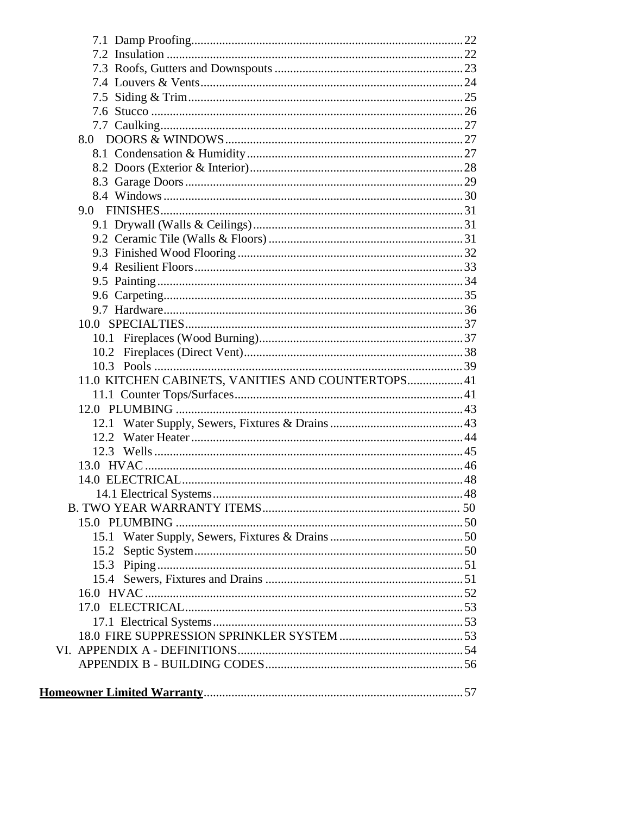| 11.0 KITCHEN CABINETS, VANITIES AND COUNTERTOPS 41 |  |
|----------------------------------------------------|--|
|                                                    |  |
|                                                    |  |
|                                                    |  |
|                                                    |  |
|                                                    |  |
|                                                    |  |
|                                                    |  |
|                                                    |  |
|                                                    |  |
|                                                    |  |
|                                                    |  |
|                                                    |  |
|                                                    |  |
|                                                    |  |
|                                                    |  |
|                                                    |  |
|                                                    |  |
|                                                    |  |
|                                                    |  |
|                                                    |  |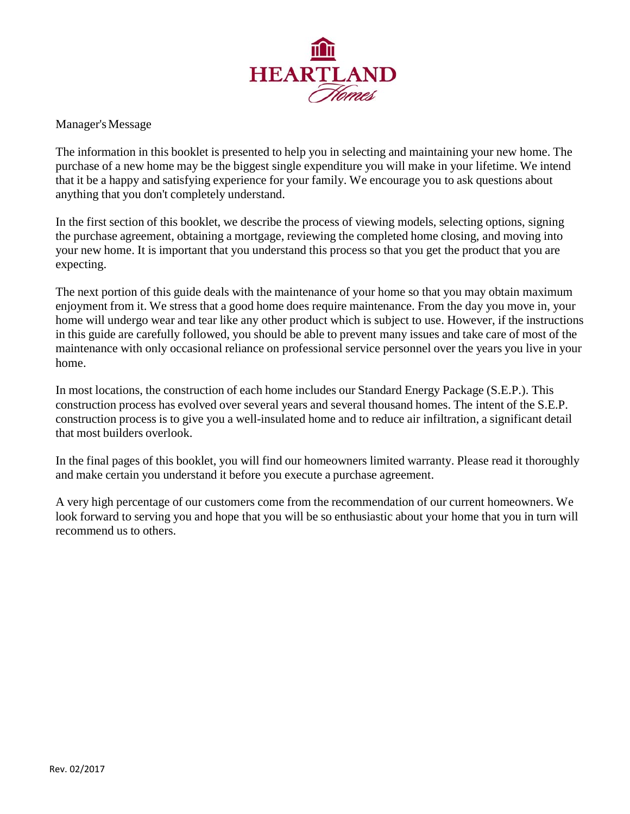

Manager's Message

The information in this booklet is presented to help you in selecting and maintaining your new home. The purchase of a new home may be the biggest single expenditure you will make in your lifetime. We intend that it be a happy and satisfying experience for your family. We encourage you to ask questions about anything that you don't completely understand.

In the first section of this booklet, we describe the process of viewing models, selecting options, signing the purchase agreement, obtaining a mortgage, reviewing the completed home closing, and moving into your new home. It is important that you understand this process so that you get the product that you are expecting.

The next portion of this guide deals with the maintenance of your home so that you may obtain maximum enjoyment from it. We stress that a good home does require maintenance. From the day you move in, your home will undergo wear and tear like any other product which is subject to use. However, if the instructions in this guide are carefully followed, you should be able to prevent many issues and take care of most of the maintenance with only occasional reliance on professional service personnel over the years you live in your home.

In most locations, the construction of each home includes our Standard Energy Package (S.E.P.). This construction process has evolved over several years and several thousand homes. The intent of the S.E.P. construction process is to give you a well-insulated home and to reduce air infiltration, a significant detail that most builders overlook.

In the final pages of this booklet, you will find our homeowners limited warranty. Please read it thoroughly and make certain you understand it before you execute a purchase agreement.

A very high percentage of our customers come from the recommendation of our current homeowners. We look forward to serving you and hope that you will be so enthusiastic about your home that you in turn will recommend us to others.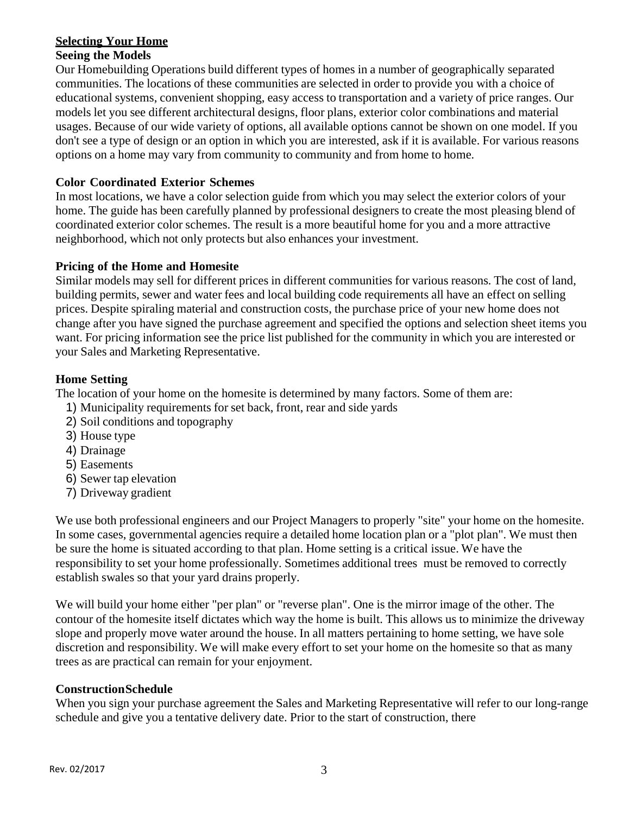# **Selecting Your Home**

# **Seeing the Models**

Our Homebuilding Operations build different types of homes in a number of geographically separated communities. The locations of these communities are selected in order to provide you with a choice of educational systems, convenient shopping, easy access to transportation and a variety of price ranges. Our models let you see different architectural designs, floor plans, exterior color combinations and material usages. Because of our wide variety of options, all available options cannot be shown on one model. If you don't see a type of design or an option in which you are interested, ask if it is available. For various reasons options on a home may vary from community to community and from home to home.

## **Color Coordinated Exterior Schemes**

In most locations, we have a color selection guide from which you may select the exterior colors of your home. The guide has been carefully planned by professional designers to create the most pleasing blend of coordinated exterior color schemes. The result is a more beautiful home for you and a more attractive neighborhood, which not only protects but also enhances your investment.

## **Pricing of the Home and Homesite**

Similar models may sell for different prices in different communities for various reasons. The cost of land, building permits, sewer and water fees and local building code requirements all have an effect on selling prices. Despite spiraling material and construction costs, the purchase price of your new home does not change after you have signed the purchase agreement and specified the options and selection sheet items you want. For pricing information see the price list published for the community in which you are interested or your Sales and Marketing Representative.

## **Home Setting**

The location of your home on the homesite is determined by many factors. Some of them are:

- 1) Municipality requirements for set back, front, rear and side yards
- 2) Soil conditions and topography
- 3) House type
- 4) Drainage
- 5) Easements
- 6) Sewer tap elevation
- 7) Driveway gradient

We use both professional engineers and our Project Managers to properly "site" your home on the homesite. In some cases, governmental agencies require a detailed home location plan or a "plot plan". We must then be sure the home is situated according to that plan. Home setting is a critical issue. We have the responsibility to set your home professionally. Sometimes additional trees must be removed to correctly establish swales so that your yard drains properly.

We will build your home either "per plan" or "reverse plan". One is the mirror image of the other. The contour of the homesite itself dictates which way the home is built. This allows us to minimize the driveway slope and properly move water around the house. In all matters pertaining to home setting, we have sole discretion and responsibility. We will make every effort to set your home on the homesite so that as many trees as are practical can remain for your enjoyment.

# **Construction Schedule**

When you sign your purchase agreement the Sales and Marketing Representative will refer to our long-range schedule and give you a tentative delivery date. Prior to the start of construction, there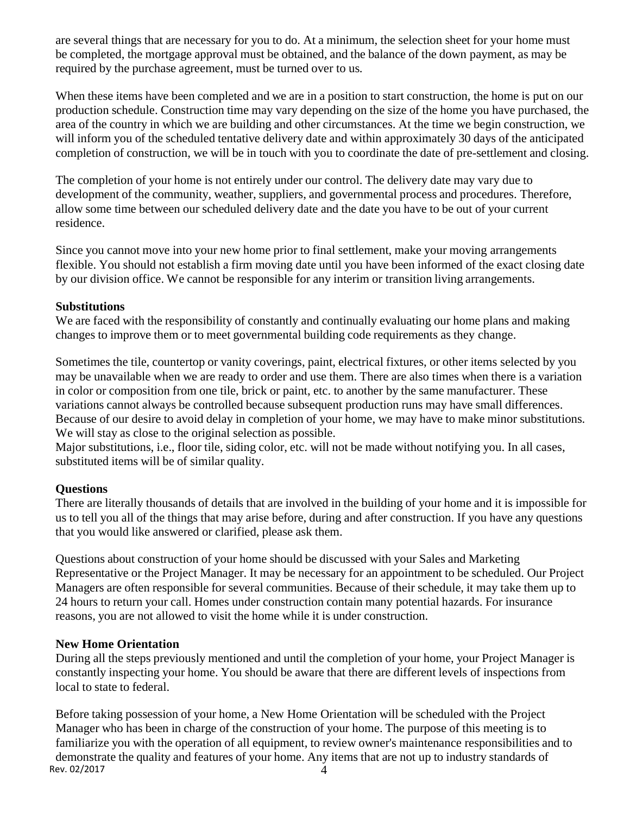are several things that are necessary for you to do. At a minimum, the selection sheet for your home must be completed, the mortgage approval must be obtained, and the balance of the down payment, as may be required by the purchase agreement, must be turned over to us.

When these items have been completed and we are in a position to start construction, the home is put on our production schedule. Construction time may vary depending on the size of the home you have purchased, the area of the country in which we are building and other circumstances. At the time we begin construction, we will inform you of the scheduled tentative delivery date and within approximately 30 days of the anticipated completion of construction, we will be in touch with you to coordinate the date of pre-settlement and closing.

The completion of your home is not entirely under our control. The delivery date may vary due to development of the community, weather, suppliers, and governmental process and procedures. Therefore, allow some time between our scheduled delivery date and the date you have to be out of your current residence.

Since you cannot move into your new home prior to final settlement, make your moving arrangements flexible. You should not establish a firm moving date until you have been informed of the exact closing date by our division office. We cannot be responsible for any interim or transition living arrangements.

## **Substitutions**

We are faced with the responsibility of constantly and continually evaluating our home plans and making changes to improve them or to meet governmental building code requirements as they change.

Sometimes the tile, countertop or vanity coverings, paint, electrical fixtures, or other items selected by you may be unavailable when we are ready to order and use them. There are also times when there is a variation in color or composition from one tile, brick or paint, etc. to another by the same manufacturer. These variations cannot always be controlled because subsequent production runs may have small differences. Because of our desire to avoid delay in completion of your home, we may have to make minor substitutions. We will stay as close to the original selection as possible.

Major substitutions, i.e., floor tile, siding color, etc. will not be made without notifying you. In all cases, substituted items will be of similar quality.

# **Questions**

There are literally thousands of details that are involved in the building of your home and it is impossible for us to tell you all of the things that may arise before, during and after construction. If you have any questions that you would like answered or clarified, please ask them.

Questions about construction of your home should be discussed with your Sales and Marketing Representative or the Project Manager. It may be necessary for an appointment to be scheduled. Our Project Managers are often responsible for several communities. Because of their schedule, it may take them up to 24 hours to return your call. Homes under construction contain many potential hazards. For insurance reasons, you are not allowed to visit the home while it is under construction.

# **New Home Orientation**

During all the steps previously mentioned and until the completion of your home, your Project Manager is constantly inspecting your home. You should be aware that there are different levels of inspections from local to state to federal.

Rev. 02/2017  $\frac{1}{4}$ Before taking possession of your home, a New Home Orientation will be scheduled with the Project Manager who has been in charge of the construction of your home. The purpose of this meeting is to familiarize you with the operation of all equipment, to review owner's maintenance responsibilities and to demonstrate the quality and features of your home. Any items that are not up to industry standards of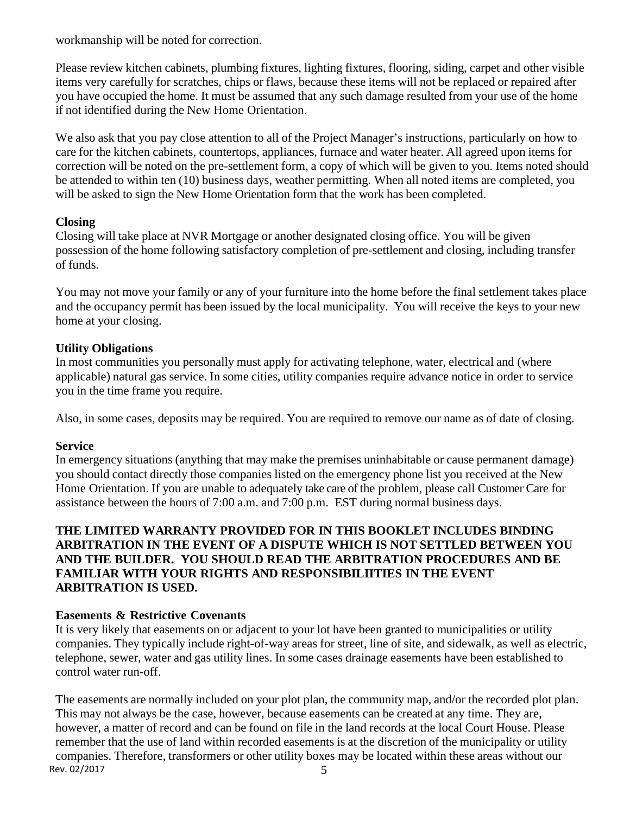workmanship will be noted for correction.

Please review kitchen cabinets, plumbing fixtures, lighting fixtures, flooring, siding, carpet and other visible items very carefully for scratches, chips or flaws, because these items will not be replaced or repaired after you have occupied the home. It must be assumed that any such damage resulted from your use of the home if not identified during the New Home Orientation.

We also ask that you pay close attention to all of the Project Manager's instructions, particularly on how to care for the kitchen cabinets, countertops, appliances, furnace and water heater. All agreed upon items for correction will be noted on the pre-settlement form, a copy of which will be given to you. Items noted should be attended to within ten (10) business days, weather permitting. When all noted items are completed, you will be asked to sign the New Home Orientation form that the work has been completed.

# **Closing**

Closing will take place at NVR Mortgage or another designated closing office. You will be given possession of the home following satisfactory completion of pre-settlement and closing, including transfer of funds.

You may not move your family or any of your furniture into the home before the final settlement takes place and the occupancy permit has been issued by the local municipality. You will receive the keys to your new home at your closing.

# **Utility Obligations**

In most communities you personally must apply for activating telephone, water, electrical and (where applicable) natural gas service. In some cities, utility companies require advance notice in order to service you in the time frame you require.

Also, in some cases, deposits may be required. You are required to remove our name as of date of closing.

# **Service**

In emergency situations (anything that may make the premises uninhabitable or cause permanent damage) you should contact directly those companies listed on the emergency phone list you received at the New Home Orientation. If you are unable to adequately take care of the problem, please call Customer Care for assistance between the hours of 7:00 a.m. and 7:00 p.m. EST during normal business days.

# **THE LIMITED WARRANTY PROVIDED FOR IN THIS BOOKLET INCLUDES BINDING ARBITRATION IN THE EVENT OF A DISPUTE WHICH IS NOT SETTLED BETWEEN YOU AND THE BUILDER. YOU SHOULD READ THE ARBITRATION PROCEDURES AND BE FAMILIAR WITH YOUR RIGHTS AND RESPONSIBILIITIES IN THE EVENT ARBITRATION IS USED.**

# **Easements & Restrictive Covenants**

It is very likely that easements on or adjacent to your lot have been granted to municipalities or utility companies. They typically include right-of-way areas for street, line of site, and sidewalk, as well as electric, telephone, sewer, water and gas utility lines. In some cases drainage easements have been established to control water run-off.

Rev. 02/2017 5 The easements are normally included on your plot plan, the community map, and/or the recorded plot plan. This may not always be the case, however, because easements can be created at any time. They are, however, a matter of record and can be found on file in the land records at the local Court House. Please remember that the use of land within recorded easements is at the discretion of the municipality or utility companies. Therefore, transformers or other utility boxes may be located within these areas without our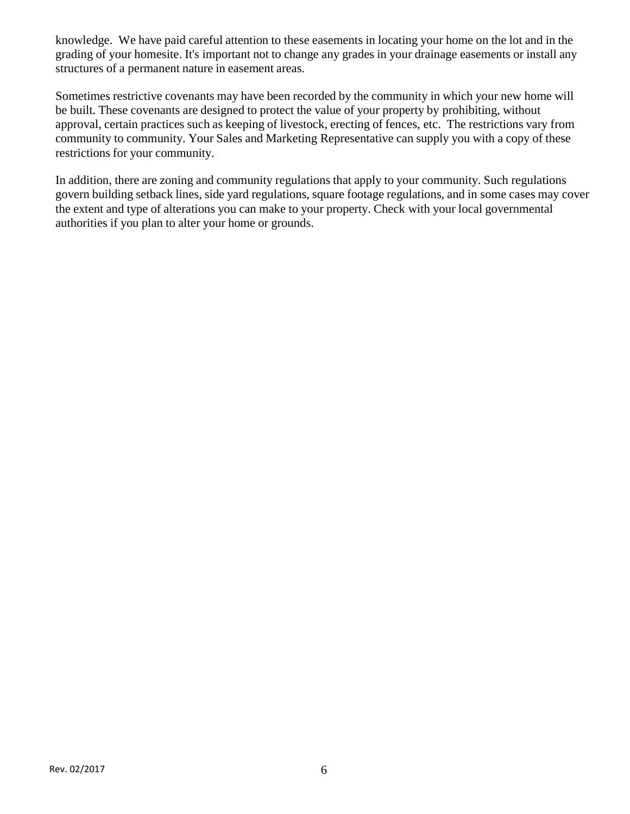knowledge. We have paid careful attention to these easements in locating your home on the lot and in the grading of your homesite. It's important not to change any grades in your drainage easements or install any structures of a permanent nature in easement areas.

Sometimes restrictive covenants may have been recorded by the community in which your new home will be built. These covenants are designed to protect the value of your property by prohibiting, without approval, certain practices such as keeping of livestock, erecting of fences, etc. The restrictions vary from community to community. Your Sales and Marketing Representative can supply you with a copy of these restrictions for your community.

In addition, there are zoning and community regulations that apply to your community. Such regulations govern building setback lines, side yard regulations, square footage regulations, and in some cases may cover the extent and type of alterations you can make to your property. Check with your local governmental authorities if you plan to alter your home or grounds.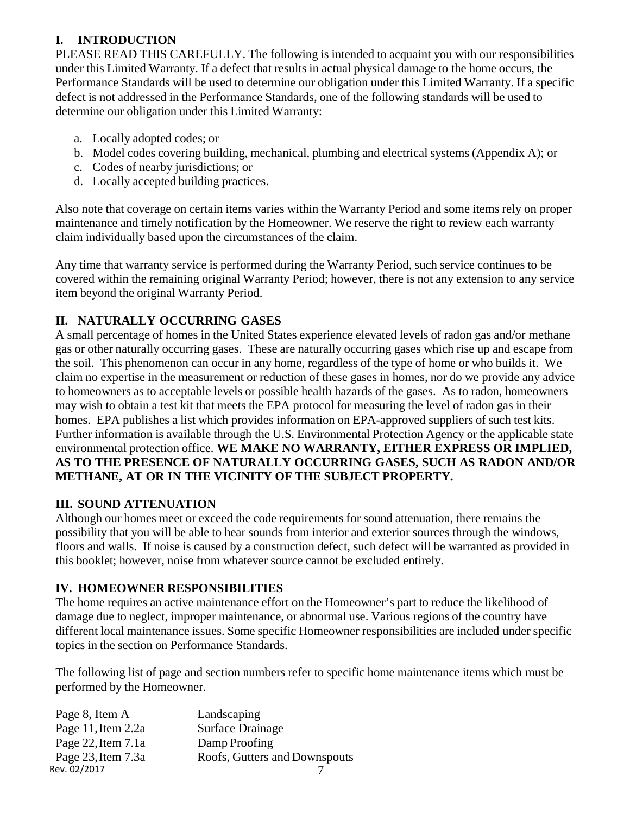# **I. INTRODUCTION**

PLEASE READ THIS CAREFULLY. The following is intended to acquaint you with our responsibilities under this Limited Warranty. If a defect that results in actual physical damage to the home occurs, the Performance Standards will be used to determine our obligation under this Limited Warranty. If a specific defect is not addressed in the Performance Standards, one of the following standards will be used to determine our obligation under this Limited Warranty:

- a. Locally adopted codes; or
- b. Model codes covering building, mechanical, plumbing and electrical systems (Appendix A); or
- c. Codes of nearby jurisdictions; or
- d. Locally accepted building practices.

Also note that coverage on certain items varies within the Warranty Period and some items rely on proper maintenance and timely notification by the Homeowner. We reserve the right to review each warranty claim individually based upon the circumstances of the claim.

Any time that warranty service is performed during the Warranty Period, such service continues to be covered within the remaining original Warranty Period; however, there is not any extension to any service item beyond the original Warranty Period.

# **II. NATURALLY OCCURRING GASES**

A small percentage of homes in the United States experience elevated levels of radon gas and/or methane gas or other naturally occurring gases. These are naturally occurring gases which rise up and escape from the soil. This phenomenon can occur in any home, regardless of the type of home or who builds it. We claim no expertise in the measurement or reduction of these gases in homes, nor do we provide any advice to homeowners as to acceptable levels or possible health hazards of the gases. As to radon, homeowners may wish to obtain a test kit that meets the EPA protocol for measuring the level of radon gas in their homes. EPA publishes a list which provides information on EPA-approved suppliers of such test kits. Further information is available through the U.S. Environmental Protection Agency or the applicable state environmental protection office. **WE MAKE NO WARRANTY, EITHER EXPRESS OR IMPLIED, AS TO THE PRESENCE OF NATURALLY OCCURRING GASES, SUCH AS RADON AND/OR METHANE, AT OR IN THE VICINITY OF THE SUBJECT PROPERTY.** 

# **III. SOUND ATTENUATION**

Although our homes meet or exceed the code requirements for sound attenuation, there remains the possibility that you will be able to hear sounds from interior and exterior sources through the windows, floors and walls. If noise is caused by a construction defect, such defect will be warranted as provided in this booklet; however, noise from whatever source cannot be excluded entirely.

# **IV. HOMEOWNER RESPONSIBILITIES**

The home requires an active maintenance effort on the Homeowner's part to reduce the likelihood of damage due to neglect, improper maintenance, or abnormal use. Various regions of the country have different local maintenance issues. Some specific Homeowner responsibilities are included under specific topics in the section on Performance Standards.

The following list of page and section numbers refer to specific home maintenance items which must be performed by the Homeowner.

| Landscaping                   |
|-------------------------------|
| <b>Surface Drainage</b>       |
| Damp Proofing                 |
| Roofs, Gutters and Downspouts |
|                               |
|                               |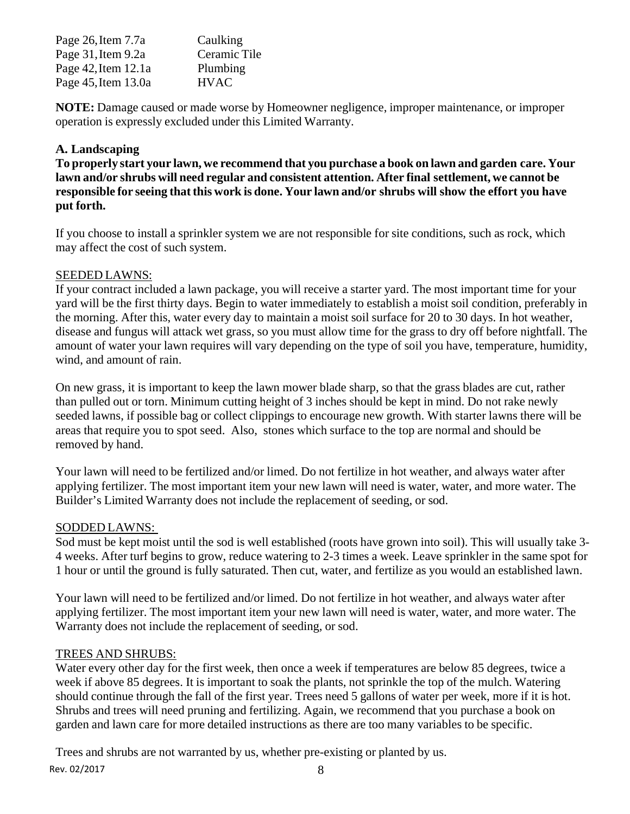| Page 26, Item 7.7a       | Caulking     |
|--------------------------|--------------|
| Page 31, Item 9.2a       | Ceramic Tile |
| Page $42$ , Item $12.1a$ | Plumbing     |
| Page 45, Item 13.0a      | <b>HVAC</b>  |

**NOTE:** Damage caused or made worse by Homeowner negligence, improper maintenance, or improper operation is expressly excluded under this Limited Warranty.

# **A. Landscaping**

**To properly start your lawn, we recommend that you purchase a book on lawn and garden care. Your lawn and/or shrubs will need regular and consistent attention. After final settlement, we cannot be responsible for seeing that this work is done. Your lawn and/or shrubs will show the effort you have put forth.** 

If you choose to install a sprinkler system we are not responsible for site conditions, such as rock, which may affect the cost of such system.

## SEEDED LAWNS:

If your contract included a lawn package, you will receive a starter yard. The most important time for your yard will be the first thirty days. Begin to water immediately to establish a moist soil condition, preferably in the morning. After this, water every day to maintain a moist soil surface for 20 to 30 days. In hot weather, disease and fungus will attack wet grass, so you must allow time for the grass to dry off before nightfall. The amount of water your lawn requires will vary depending on the type of soil you have, temperature, humidity, wind, and amount of rain.

On new grass, it is important to keep the lawn mower blade sharp, so that the grass blades are cut, rather than pulled out or torn. Minimum cutting height of 3 inches should be kept in mind. Do not rake newly seeded lawns, if possible bag or collect clippings to encourage new growth. With starter lawns there will be areas that require you to spot seed. Also, stones which surface to the top are normal and should be removed by hand.

Your lawn will need to be fertilized and/or limed. Do not fertilize in hot weather, and always water after applying fertilizer. The most important item your new lawn will need is water, water, and more water. The Builder's Limited Warranty does not include the replacement of seeding, or sod.

# SODDED LAWNS:

Sod must be kept moist until the sod is well established (roots have grown into soil). This will usually take 3- 4 weeks. After turf begins to grow, reduce watering to 2-3 times a week. Leave sprinkler in the same spot for 1 hour or until the ground is fully saturated. Then cut, water, and fertilize as you would an established lawn.

Your lawn will need to be fertilized and/or limed. Do not fertilize in hot weather, and always water after applying fertilizer. The most important item your new lawn will need is water, water, and more water. The Warranty does not include the replacement of seeding, or sod.

# TREES AND SHRUBS:

Water every other day for the first week, then once a week if temperatures are below 85 degrees, twice a week if above 85 degrees. It is important to soak the plants, not sprinkle the top of the mulch. Watering should continue through the fall of the first year. Trees need 5 gallons of water per week, more if it is hot. Shrubs and trees will need pruning and fertilizing. Again, we recommend that you purchase a book on garden and lawn care for more detailed instructions as there are too many variables to be specific.

Rev. 02/2017 8 Trees and shrubs are not warranted by us, whether pre-existing or planted by us.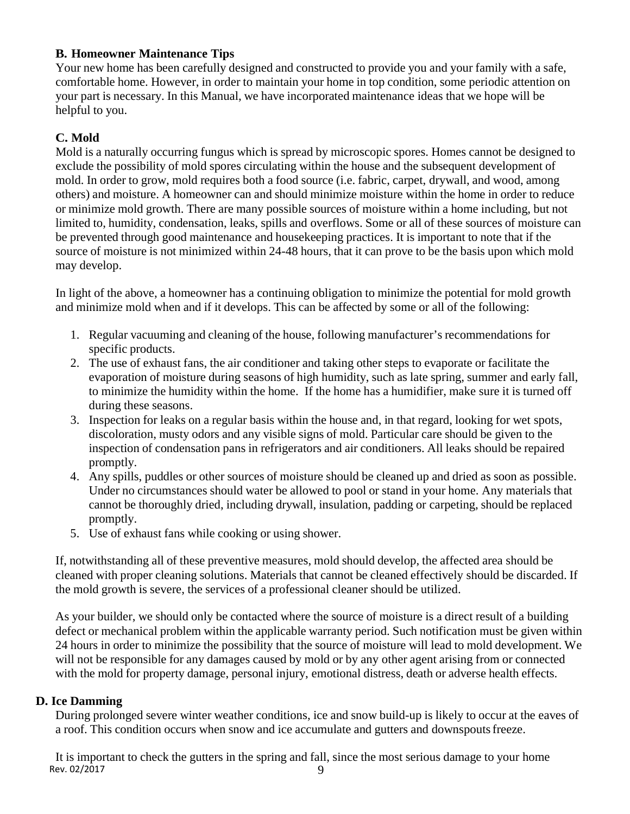# **B. Homeowner Maintenance Tips**

Your new home has been carefully designed and constructed to provide you and your family with a safe, comfortable home. However, in order to maintain your home in top condition, some periodic attention on your part is necessary. In this Manual, we have incorporated maintenance ideas that we hope will be helpful to you.

# **C. Mold**

Mold is a naturally occurring fungus which is spread by microscopic spores. Homes cannot be designed to exclude the possibility of mold spores circulating within the house and the subsequent development of mold. In order to grow, mold requires both a food source (i.e. fabric, carpet, drywall, and wood, among others) and moisture. A homeowner can and should minimize moisture within the home in order to reduce or minimize mold growth. There are many possible sources of moisture within a home including, but not limited to, humidity, condensation, leaks, spills and overflows. Some or all of these sources of moisture can be prevented through good maintenance and housekeeping practices. It is important to note that if the source of moisture is not minimized within 24-48 hours, that it can prove to be the basis upon which mold may develop.

In light of the above, a homeowner has a continuing obligation to minimize the potential for mold growth and minimize mold when and if it develops. This can be affected by some or all of the following:

- 1. Regular vacuuming and cleaning of the house, following manufacturer's recommendations for specific products.
- 2. The use of exhaust fans, the air conditioner and taking other steps to evaporate or facilitate the evaporation of moisture during seasons of high humidity, such as late spring, summer and early fall, to minimize the humidity within the home. If the home has a humidifier, make sure it is turned off during these seasons.
- 3. Inspection for leaks on a regular basis within the house and, in that regard, looking for wet spots, discoloration, musty odors and any visible signs of mold. Particular care should be given to the inspection of condensation pans in refrigerators and air conditioners. All leaks should be repaired promptly.
- 4. Any spills, puddles or other sources of moisture should be cleaned up and dried as soon as possible. Under no circumstances should water be allowed to pool or stand in your home. Any materials that cannot be thoroughly dried, including drywall, insulation, padding or carpeting, should be replaced promptly.
- 5. Use of exhaust fans while cooking or using shower.

If, notwithstanding all of these preventive measures, mold should develop, the affected area should be cleaned with proper cleaning solutions. Materials that cannot be cleaned effectively should be discarded. If the mold growth is severe, the services of a professional cleaner should be utilized.

As your builder, we should only be contacted where the source of moisture is a direct result of a building defect or mechanical problem within the applicable warranty period. Such notification must be given within 24 hours in order to minimize the possibility that the source of moisture will lead to mold development. We will not be responsible for any damages caused by mold or by any other agent arising from or connected with the mold for property damage, personal injury, emotional distress, death or adverse health effects.

# **D. Ice Damming**

During prolonged severe winter weather conditions, ice and snow build-up is likely to occur at the eaves of a roof. This condition occurs when snow and ice accumulate and gutters and downspouts freeze.

Rev.  $02/2017$  9 It is important to check the gutters in the spring and fall, since the most serious damage to your home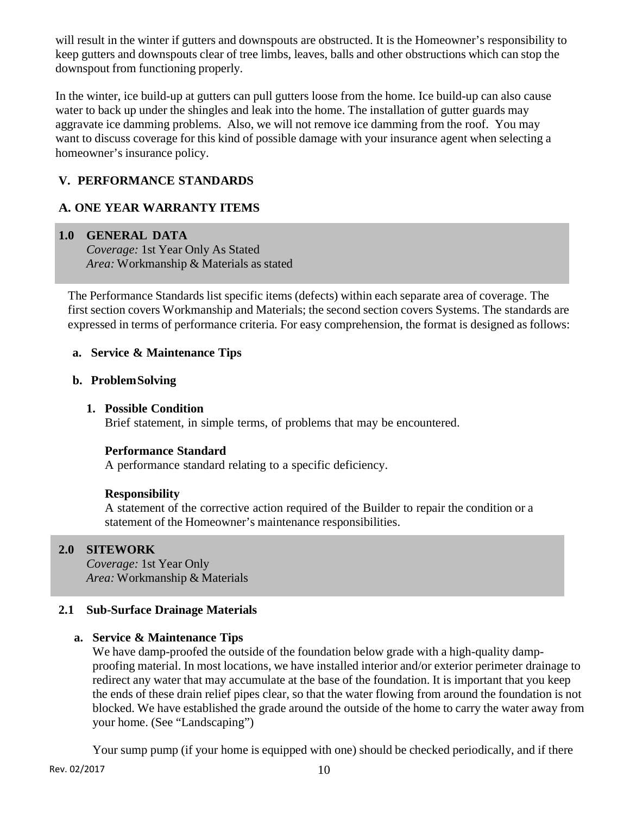will result in the winter if gutters and downspouts are obstructed. It is the Homeowner's responsibility to keep gutters and downspouts clear of tree limbs, leaves, balls and other obstructions which can stop the downspout from functioning properly.

In the winter, ice build-up at gutters can pull gutters loose from the home. Ice build-up can also cause water to back up under the shingles and leak into the home. The installation of gutter guards may aggravate ice damming problems. Also, we will not remove ice damming from the roof. You may want to discuss coverage for this kind of possible damage with your insurance agent when selecting a homeowner's insurance policy.

# **V. PERFORMANCE STANDARDS**

# **A. ONE YEAR WARRANTY ITEMS**

## **1.0 GENERAL DATA**

*Coverage:* 1st Year Only As Stated *Area:* Workmanship & Materials as stated

The Performance Standards list specific items (defects) within each separate area of coverage. The first section covers Workmanship and Materials; the second section covers Systems. The standards are expressed in terms of performance criteria. For easy comprehension, the format is designed as follows:

## **a. Service & Maintenance Tips**

#### **b. Problem Solving**

## **1. Possible Condition**

Brief statement, in simple terms, of problems that may be encountered.

# **Performance Standard**

A performance standard relating to a specific deficiency.

#### **Responsibility**

A statement of the corrective action required of the Builder to repair the condition or a statement of the Homeowner's maintenance responsibilities.

# **2.0 SITEWORK**

*Coverage:* 1st Year Only *Area:* Workmanship & Materials

#### **2.1 Sub-Surface Drainage Materials**

#### **a. Service & Maintenance Tips**

We have damp-proofed the outside of the foundation below grade with a high-quality dampproofing material. In most locations, we have installed interior and/or exterior perimeter drainage to redirect any water that may accumulate at the base of the foundation. It is important that you keep the ends of these drain relief pipes clear, so that the water flowing from around the foundation is not blocked. We have established the grade around the outside of the home to carry the water away from your home. (See "Landscaping")

Your sump pump (if your home is equipped with one) should be checked periodically, and if there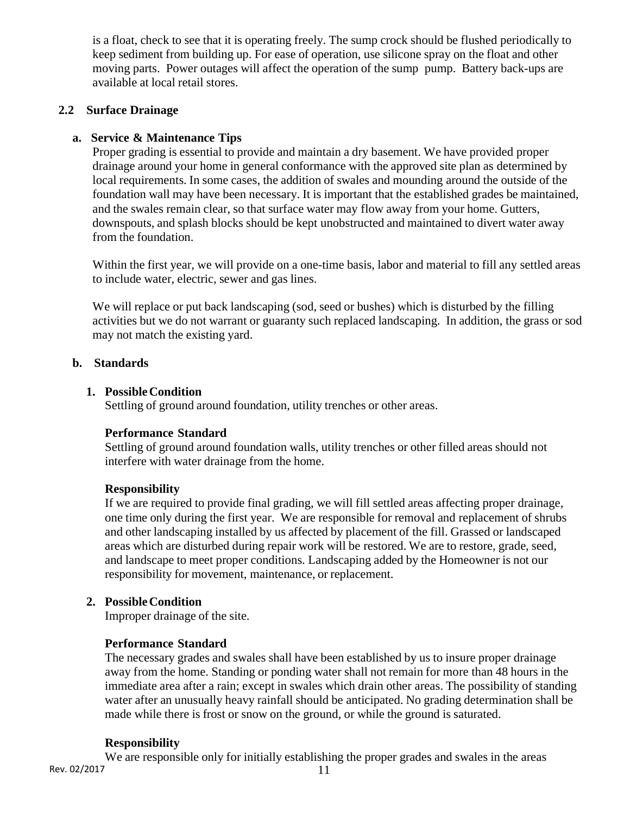is a float, check to see that it is operating freely. The sump crock should be flushed periodically to keep sediment from building up. For ease of operation, use silicone spray on the float and other moving parts. Power outages will affect the operation of the sump pump. Battery back-ups are available at local retail stores.

## **2.2 Surface Drainage**

## **a. Service & Maintenance Tips**

Proper grading is essential to provide and maintain a dry basement. We have provided proper drainage around your home in general conformance with the approved site plan as determined by local requirements. In some cases, the addition of swales and mounding around the outside of the foundation wall may have been necessary. It is important that the established grades be maintained, and the swales remain clear, so that surface water may flow away from your home. Gutters, downspouts, and splash blocks should be kept unobstructed and maintained to divert water away from the foundation.

Within the first year, we will provide on a one-time basis, labor and material to fill any settled areas to include water, electric, sewer and gas lines.

We will replace or put back landscaping (sod, seed or bushes) which is disturbed by the filling activities but we do not warrant or guaranty such replaced landscaping. In addition, the grass or sod may not match the existing yard.

## **b. Standards**

#### **1. Possible Condition**

Settling of ground around foundation, utility trenches or other areas.

#### **Performance Standard**

Settling of ground around foundation walls, utility trenches or other filled areas should not interfere with water drainage from the home.

#### **Responsibility**

If we are required to provide final grading, we will fill settled areas affecting proper drainage, one time only during the first year. We are responsible for removal and replacement of shrubs and other landscaping installed by us affected by placement of the fill. Grassed or landscaped areas which are disturbed during repair work will be restored. We are to restore, grade, seed, and landscape to meet proper conditions. Landscaping added by the Homeowner is not our responsibility for movement, maintenance, or replacement.

#### **2. Possible Condition**

Improper drainage of the site.

#### **Performance Standard**

The necessary grades and swales shall have been established by us to insure proper drainage away from the home. Standing or ponding water shall not remain for more than 48 hours in the immediate area after a rain; except in swales which drain other areas. The possibility of standing water after an unusually heavy rainfall should be anticipated. No grading determination shall be made while there is frost or snow on the ground, or while the ground is saturated.

#### **Responsibility**

Rev. 02/2017 11 We are responsible only for initially establishing the proper grades and swales in the areas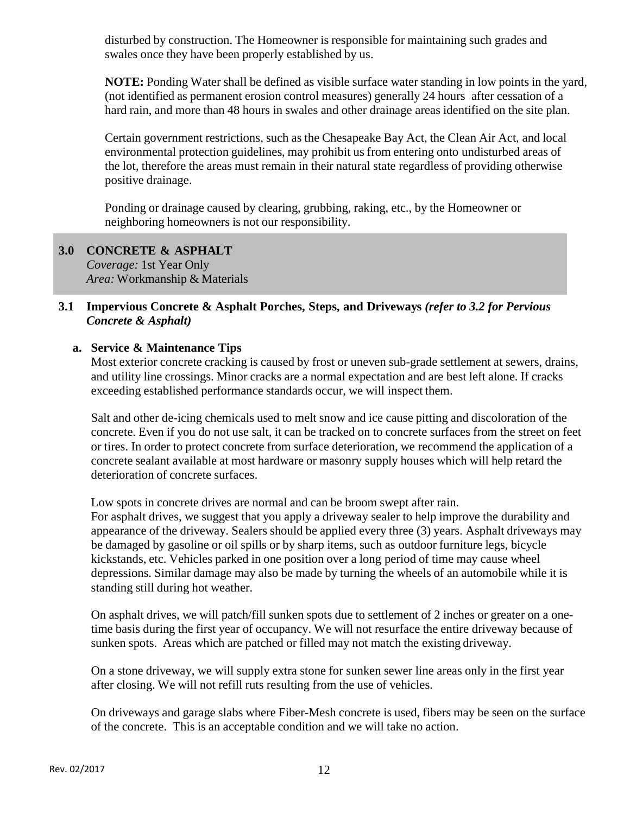disturbed by construction. The Homeowner is responsible for maintaining such grades and swales once they have been properly established by us.

**NOTE:** Ponding Water shall be defined as visible surface water standing in low points in the yard, (not identified as permanent erosion control measures) generally 24 hours after cessation of a hard rain, and more than 48 hours in swales and other drainage areas identified on the site plan.

Certain government restrictions, such as the Chesapeake Bay Act, the Clean Air Act, and local environmental protection guidelines, may prohibit us from entering onto undisturbed areas of the lot, therefore the areas must remain in their natural state regardless of providing otherwise positive drainage.

Ponding or drainage caused by clearing, grubbing, raking, etc., by the Homeowner or neighboring homeowners is not our responsibility.

#### **3.0 CONCRETE & ASPHALT**  *Coverage:* 1st Year Only

*Area:* Workmanship & Materials

# **3.1 Impervious Concrete & Asphalt Porches, Steps, and Driveways** *(refer to 3.2 for Pervious Concrete & Asphalt)*

# **a. Service & Maintenance Tips**

Most exterior concrete cracking is caused by frost or uneven sub-grade settlement at sewers, drains, and utility line crossings. Minor cracks are a normal expectation and are best left alone. If cracks exceeding established performance standards occur, we will inspect them.

Salt and other de-icing chemicals used to melt snow and ice cause pitting and discoloration of the concrete. Even if you do not use salt, it can be tracked on to concrete surfaces from the street on feet or tires. In order to protect concrete from surface deterioration, we recommend the application of a concrete sealant available at most hardware or masonry supply houses which will help retard the deterioration of concrete surfaces.

Low spots in concrete drives are normal and can be broom swept after rain. For asphalt drives, we suggest that you apply a driveway sealer to help improve the durability and appearance of the driveway. Sealers should be applied every three (3) years. Asphalt driveways may be damaged by gasoline or oil spills or by sharp items, such as outdoor furniture legs, bicycle kickstands, etc. Vehicles parked in one position over a long period of time may cause wheel depressions. Similar damage may also be made by turning the wheels of an automobile while it is standing still during hot weather.

On asphalt drives, we will patch/fill sunken spots due to settlement of 2 inches or greater on a onetime basis during the first year of occupancy. We will not resurface the entire driveway because of sunken spots. Areas which are patched or filled may not match the existing driveway.

On a stone driveway, we will supply extra stone for sunken sewer line areas only in the first year after closing. We will not refill ruts resulting from the use of vehicles.

On driveways and garage slabs where Fiber-Mesh concrete is used, fibers may be seen on the surface of the concrete. This is an acceptable condition and we will take no action.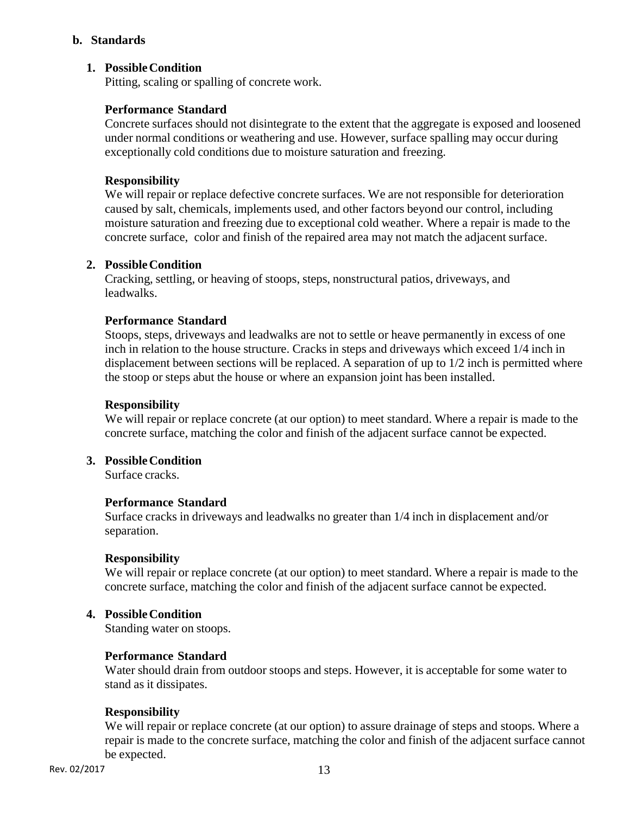#### **b. Standards**

## **1. Possible Condition**

Pitting, scaling or spalling of concrete work.

## **Performance Standard**

Concrete surfaces should not disintegrate to the extent that the aggregate is exposed and loosened under normal conditions or weathering and use. However, surface spalling may occur during exceptionally cold conditions due to moisture saturation and freezing.

#### **Responsibility**

We will repair or replace defective concrete surfaces. We are not responsible for deterioration caused by salt, chemicals, implements used, and other factors beyond our control, including moisture saturation and freezing due to exceptional cold weather. Where a repair is made to the concrete surface, color and finish of the repaired area may not match the adjacent surface.

#### **2. Possible Condition**

Cracking, settling, or heaving of stoops, steps, nonstructural patios, driveways, and leadwalks.

#### **Performance Standard**

Stoops, steps, driveways and leadwalks are not to settle or heave permanently in excess of one inch in relation to the house structure. Cracks in steps and driveways which exceed 1/4 inch in displacement between sections will be replaced. A separation of up to 1/2 inch is permitted where the stoop or steps abut the house or where an expansion joint has been installed.

#### **Responsibility**

We will repair or replace concrete (at our option) to meet standard. Where a repair is made to the concrete surface, matching the color and finish of the adjacent surface cannot be expected.

## **3. Possible Condition**

Surface cracks.

#### **Performance Standard**

Surface cracks in driveways and leadwalks no greater than 1/4 inch in displacement and/or separation.

#### **Responsibility**

We will repair or replace concrete (at our option) to meet standard. Where a repair is made to the concrete surface, matching the color and finish of the adjacent surface cannot be expected.

## **4. Possible Condition**

Standing water on stoops.

#### **Performance Standard**

Water should drain from outdoor stoops and steps. However, it is acceptable for some water to stand as it dissipates.

#### **Responsibility**

We will repair or replace concrete (at our option) to assure drainage of steps and stoops. Where a repair is made to the concrete surface, matching the color and finish of the adjacent surface cannot be expected.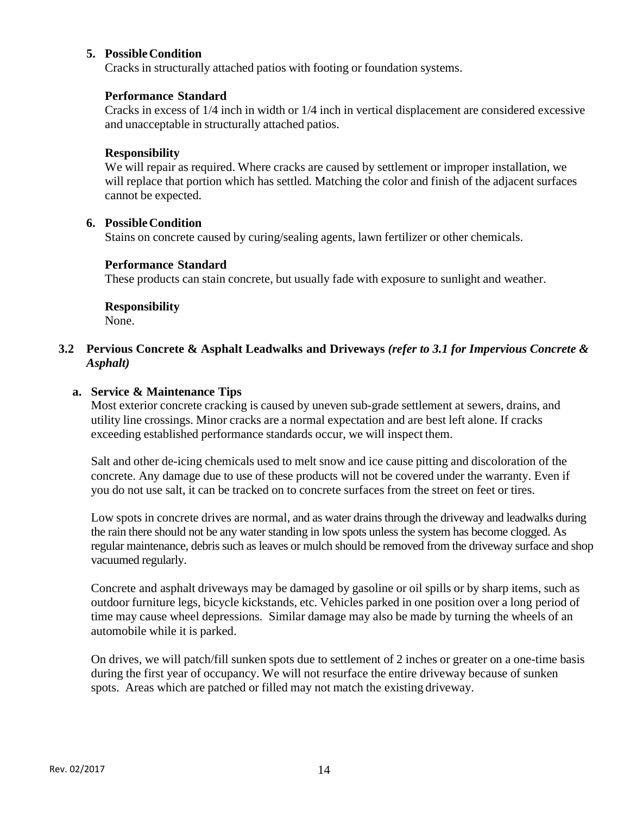## **5. Possible Condition**

Cracks in structurally attached patios with footing or foundation systems.

## **Performance Standard**

Cracks in excess of 1/4 inch in width or 1/4 inch in vertical displacement are considered excessive and unacceptable in structurally attached patios.

## **Responsibility**

We will repair as required. Where cracks are caused by settlement or improper installation, we will replace that portion which has settled. Matching the color and finish of the adjacent surfaces cannot be expected.

## **6. Possible Condition**

Stains on concrete caused by curing/sealing agents, lawn fertilizer or other chemicals.

## **Performance Standard**

These products can stain concrete, but usually fade with exposure to sunlight and weather.

# **Responsibility**

None.

## **3.2 Pervious Concrete & Asphalt Leadwalks and Driveways** *(refer to 3.1 for Impervious Concrete & Asphalt)*

## **a. Service & Maintenance Tips**

Most exterior concrete cracking is caused by uneven sub-grade settlement at sewers, drains, and utility line crossings. Minor cracks are a normal expectation and are best left alone. If cracks exceeding established performance standards occur, we will inspect them.

Salt and other de-icing chemicals used to melt snow and ice cause pitting and discoloration of the concrete. Any damage due to use of these products will not be covered under the warranty. Even if you do not use salt, it can be tracked on to concrete surfaces from the street on feet or tires.

Low spots in concrete drives are normal, and as water drains through the driveway and leadwalks during the rain there should not be any water standing in low spots unless the system has become clogged. As regular maintenance, debris such as leaves or mulch should be removed from the driveway surface and shop vacuumed regularly.

Concrete and asphalt driveways may be damaged by gasoline or oil spills or by sharp items, such as outdoor furniture legs, bicycle kickstands, etc. Vehicles parked in one position over a long period of time may cause wheel depressions. Similar damage may also be made by turning the wheels of an automobile while it is parked.

On drives, we will patch/fill sunken spots due to settlement of 2 inches or greater on a one-time basis during the first year of occupancy. We will not resurface the entire driveway because of sunken spots. Areas which are patched or filled may not match the existing driveway.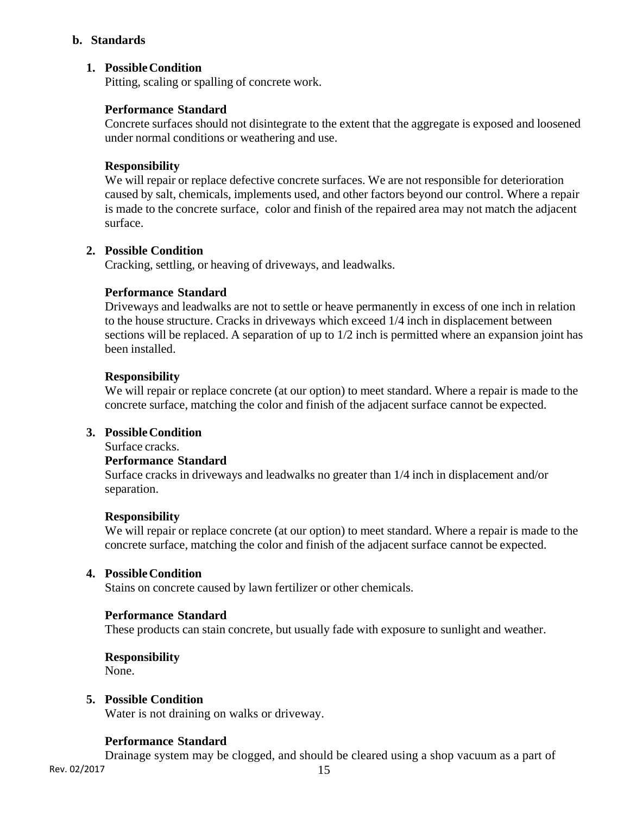#### **b. Standards**

## **1. Possible Condition**

Pitting, scaling or spalling of concrete work.

#### **Performance Standard**

Concrete surfaces should not disintegrate to the extent that the aggregate is exposed and loosened under normal conditions or weathering and use.

#### **Responsibility**

We will repair or replace defective concrete surfaces. We are not responsible for deterioration caused by salt, chemicals, implements used, and other factors beyond our control. Where a repair is made to the concrete surface, color and finish of the repaired area may not match the adjacent surface.

#### **2. Possible Condition**

Cracking, settling, or heaving of driveways, and leadwalks.

#### **Performance Standard**

Driveways and leadwalks are not to settle or heave permanently in excess of one inch in relation to the house structure. Cracks in driveways which exceed 1/4 inch in displacement between sections will be replaced. A separation of up to 1/2 inch is permitted where an expansion joint has been installed.

#### **Responsibility**

We will repair or replace concrete (at our option) to meet standard. Where a repair is made to the concrete surface, matching the color and finish of the adjacent surface cannot be expected.

#### **3. Possible Condition**

Surface cracks.

#### **Performance Standard**

Surface cracks in driveways and leadwalks no greater than 1/4 inch in displacement and/or separation.

#### **Responsibility**

We will repair or replace concrete (at our option) to meet standard. Where a repair is made to the concrete surface, matching the color and finish of the adjacent surface cannot be expected.

#### **4. Possible Condition**

Stains on concrete caused by lawn fertilizer or other chemicals.

#### **Performance Standard**

These products can stain concrete, but usually fade with exposure to sunlight and weather.

#### **Responsibility**

None.

#### **5. Possible Condition**

Water is not draining on walks or driveway.

#### **Performance Standard**

Drainage system may be clogged, and should be cleared using a shop vacuum as a part of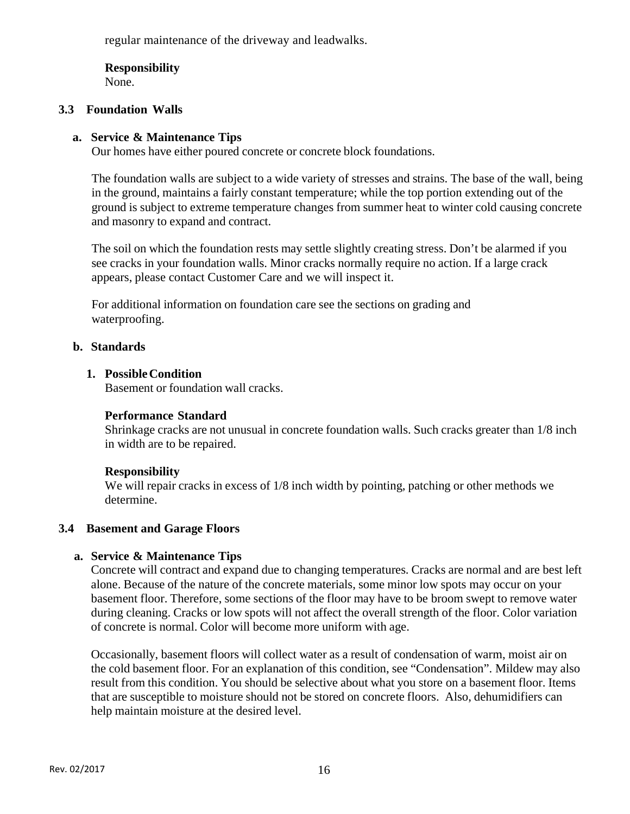regular maintenance of the driveway and leadwalks.

# **Responsibility**

None.

# **3.3 Foundation Walls**

## **a. Service & Maintenance Tips**

Our homes have either poured concrete or concrete block foundations.

The foundation walls are subject to a wide variety of stresses and strains. The base of the wall, being in the ground, maintains a fairly constant temperature; while the top portion extending out of the ground is subject to extreme temperature changes from summer heat to winter cold causing concrete and masonry to expand and contract.

The soil on which the foundation rests may settle slightly creating stress. Don't be alarmed if you see cracks in your foundation walls. Minor cracks normally require no action. If a large crack appears, please contact Customer Care and we will inspect it.

For additional information on foundation care see the sections on grading and waterproofing.

## **b. Standards**

## **1. Possible Condition**

Basement or foundation wall cracks.

#### **Performance Standard**

Shrinkage cracks are not unusual in concrete foundation walls. Such cracks greater than 1/8 inch in width are to be repaired.

# **Responsibility**

We will repair cracks in excess of 1/8 inch width by pointing, patching or other methods we determine.

# **3.4 Basement and Garage Floors**

#### **a. Service & Maintenance Tips**

Concrete will contract and expand due to changing temperatures. Cracks are normal and are best left alone. Because of the nature of the concrete materials, some minor low spots may occur on your basement floor. Therefore, some sections of the floor may have to be broom swept to remove water during cleaning. Cracks or low spots will not affect the overall strength of the floor. Color variation of concrete is normal. Color will become more uniform with age.

Occasionally, basement floors will collect water as a result of condensation of warm, moist air on the cold basement floor. For an explanation of this condition, see "Condensation". Mildew may also result from this condition. You should be selective about what you store on a basement floor. Items that are susceptible to moisture should not be stored on concrete floors. Also, dehumidifiers can help maintain moisture at the desired level.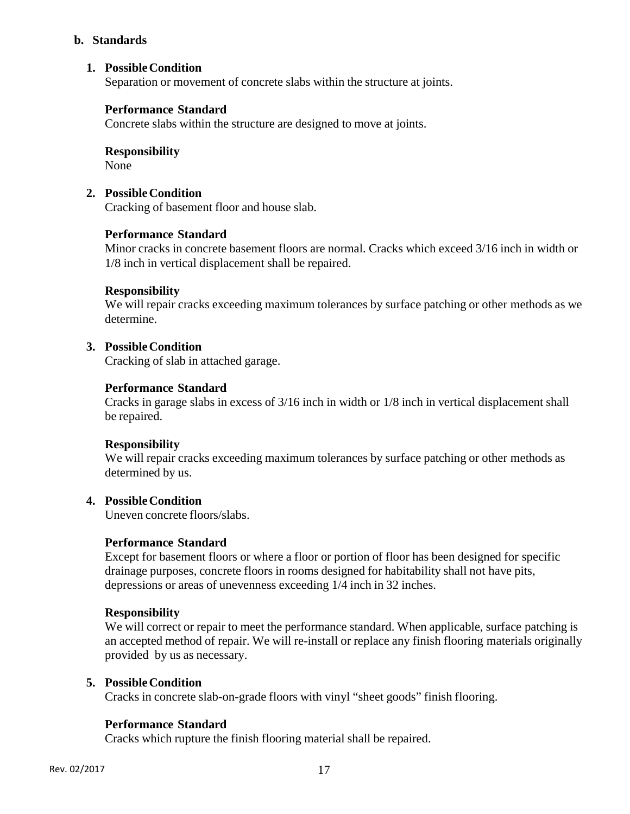#### **b. Standards**

## **1. Possible Condition**

Separation or movement of concrete slabs within the structure at joints.

#### **Performance Standard**

Concrete slabs within the structure are designed to move at joints.

# **Responsibility**

None

## **2. Possible Condition**

Cracking of basement floor and house slab.

#### **Performance Standard**

Minor cracks in concrete basement floors are normal. Cracks which exceed 3/16 inch in width or 1/8 inch in vertical displacement shall be repaired.

#### **Responsibility**

We will repair cracks exceeding maximum tolerances by surface patching or other methods as we determine.

#### **3. Possible Condition**

Cracking of slab in attached garage.

#### **Performance Standard**

Cracks in garage slabs in excess of 3/16 inch in width or 1/8 inch in vertical displacement shall be repaired.

#### **Responsibility**

We will repair cracks exceeding maximum tolerances by surface patching or other methods as determined by us.

#### **4. Possible Condition**

Uneven concrete floors/slabs.

#### **Performance Standard**

Except for basement floors or where a floor or portion of floor has been designed for specific drainage purposes, concrete floors in rooms designed for habitability shall not have pits, depressions or areas of unevenness exceeding 1/4 inch in 32 inches.

#### **Responsibility**

We will correct or repair to meet the performance standard. When applicable, surface patching is an accepted method of repair. We will re-install or replace any finish flooring materials originally provided by us as necessary.

#### **5. Possible Condition**

Cracks in concrete slab-on-grade floors with vinyl "sheet goods" finish flooring.

#### **Performance Standard**

Cracks which rupture the finish flooring material shall be repaired.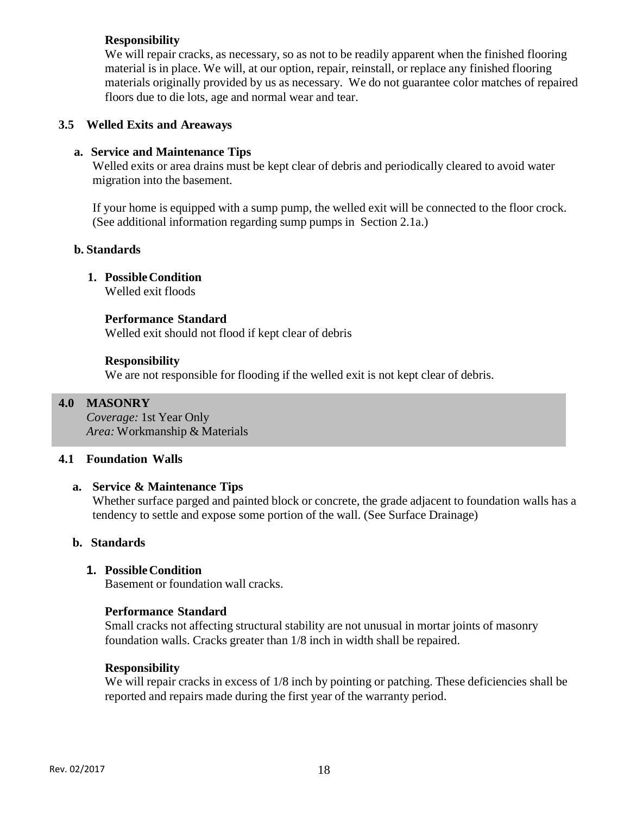## **Responsibility**

We will repair cracks, as necessary, so as not to be readily apparent when the finished flooring material is in place. We will, at our option, repair, reinstall, or replace any finished flooring materials originally provided by us as necessary. We do not guarantee color matches of repaired floors due to die lots, age and normal wear and tear.

## **3.5 Welled Exits and Areaways**

## **a. Service and Maintenance Tips**

Welled exits or area drains must be kept clear of debris and periodically cleared to avoid water migration into the basement.

If your home is equipped with a sump pump, the welled exit will be connected to the floor crock. (See additional information regarding sump pumps in Section 2.1a.)

#### **b. Standards**

# **1. Possible Condition**

Welled exit floods

## **Performance Standard**

Welled exit should not flood if kept clear of debris

#### **Responsibility**

We are not responsible for flooding if the welled exit is not kept clear of debris.

## **4.0 MASONRY**

*Coverage:* 1st Year Only *Area:* Workmanship & Materials

#### **4.1 Foundation Walls**

#### **a. Service & Maintenance Tips**

Whether surface parged and painted block or concrete, the grade adjacent to foundation walls has a tendency to settle and expose some portion of the wall. (See Surface Drainage)

#### **b. Standards**

# **1. Possible Condition**

Basement or foundation wall cracks.

#### **Performance Standard**

Small cracks not affecting structural stability are not unusual in mortar joints of masonry foundation walls. Cracks greater than 1/8 inch in width shall be repaired.

#### **Responsibility**

We will repair cracks in excess of  $1/8$  inch by pointing or patching. These deficiencies shall be reported and repairs made during the first year of the warranty period.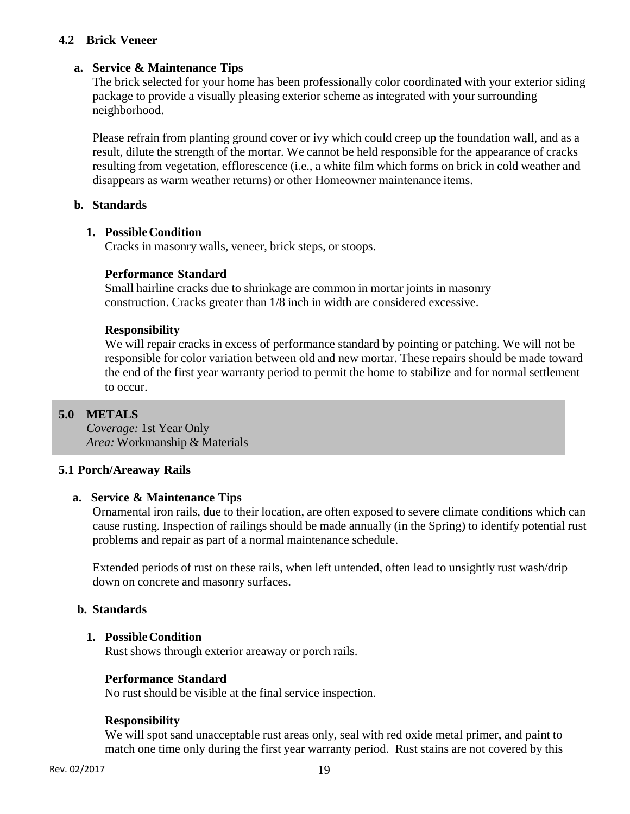## **4.2 Brick Veneer**

## **a. Service & Maintenance Tips**

The brick selected for your home has been professionally color coordinated with your exterior siding package to provide a visually pleasing exterior scheme as integrated with your surrounding neighborhood.

Please refrain from planting ground cover or ivy which could creep up the foundation wall, and as a result, dilute the strength of the mortar. We cannot be held responsible for the appearance of cracks resulting from vegetation, efflorescence (i.e., a white film which forms on brick in cold weather and disappears as warm weather returns) or other Homeowner maintenance items.

#### **b. Standards**

#### **1. Possible Condition**

Cracks in masonry walls, veneer, brick steps, or stoops.

#### **Performance Standard**

Small hairline cracks due to shrinkage are common in mortar joints in masonry construction. Cracks greater than 1/8 inch in width are considered excessive.

#### **Responsibility**

We will repair cracks in excess of performance standard by pointing or patching. We will not be responsible for color variation between old and new mortar. These repairs should be made toward the end of the first year warranty period to permit the home to stabilize and for normal settlement to occur.

#### **5.0 METALS**

*Coverage:* 1st Year Only *Area:* Workmanship & Materials

#### **5.1 Porch/Areaway Rails**

#### **a. Service & Maintenance Tips**

Ornamental iron rails, due to their location, are often exposed to severe climate conditions which can cause rusting. Inspection of railings should be made annually (in the Spring) to identify potential rust problems and repair as part of a normal maintenance schedule.

Extended periods of rust on these rails, when left untended, often lead to unsightly rust wash/drip down on concrete and masonry surfaces.

#### **b. Standards**

#### **1. Possible Condition**

Rust shows through exterior areaway or porch rails.

#### **Performance Standard**

No rust should be visible at the final service inspection.

#### **Responsibility**

We will spot sand unacceptable rust areas only, seal with red oxide metal primer, and paint to match one time only during the first year warranty period. Rust stains are not covered by this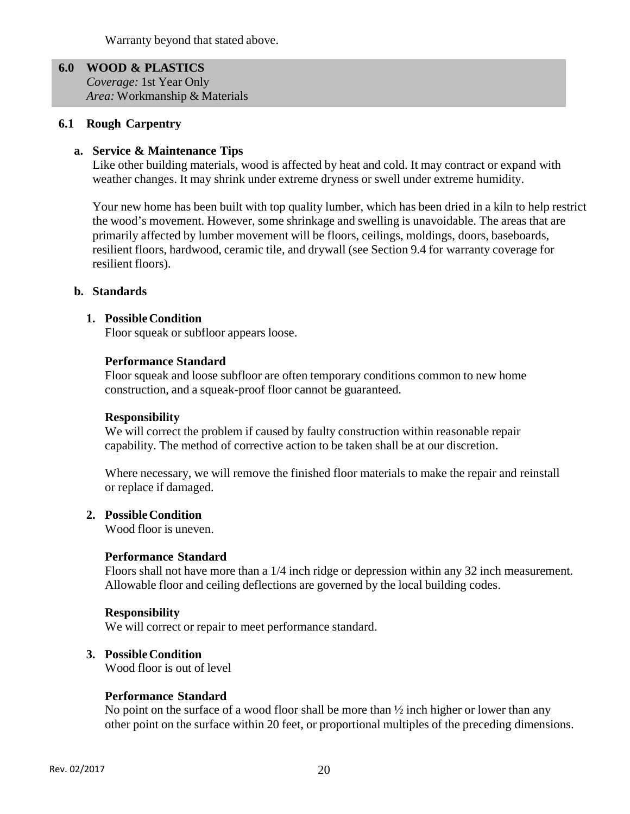Warranty beyond that stated above.

**6.0 WOOD & PLASTICS**  *Coverage:* 1st Year Only *Area:* Workmanship & Materials

#### **6.1 Rough Carpentry**

#### **a. Service & Maintenance Tips**

Like other building materials, wood is affected by heat and cold. It may contract or expand with weather changes. It may shrink under extreme dryness or swell under extreme humidity.

Your new home has been built with top quality lumber, which has been dried in a kiln to help restrict the wood's movement. However, some shrinkage and swelling is unavoidable. The areas that are primarily affected by lumber movement will be floors, ceilings, moldings, doors, baseboards, resilient floors, hardwood, ceramic tile, and drywall (see Section 9.4 for warranty coverage for resilient floors).

#### **b. Standards**

#### **1. Possible Condition**

Floor squeak or subfloor appears loose.

#### **Performance Standard**

Floor squeak and loose subfloor are often temporary conditions common to new home construction, and a squeak-proof floor cannot be guaranteed.

#### **Responsibility**

We will correct the problem if caused by faulty construction within reasonable repair capability. The method of corrective action to be taken shall be at our discretion.

Where necessary, we will remove the finished floor materials to make the repair and reinstall or replace if damaged.

#### **2. Possible Condition**

Wood floor is uneven.

#### **Performance Standard**

Floors shall not have more than a 1/4 inch ridge or depression within any 32 inch measurement. Allowable floor and ceiling deflections are governed by the local building codes.

#### **Responsibility**

We will correct or repair to meet performance standard.

#### **3. Possible Condition**

Wood floor is out of level

#### **Performance Standard**

No point on the surface of a wood floor shall be more than  $\frac{1}{2}$  inch higher or lower than any other point on the surface within 20 feet, or proportional multiples of the preceding dimensions.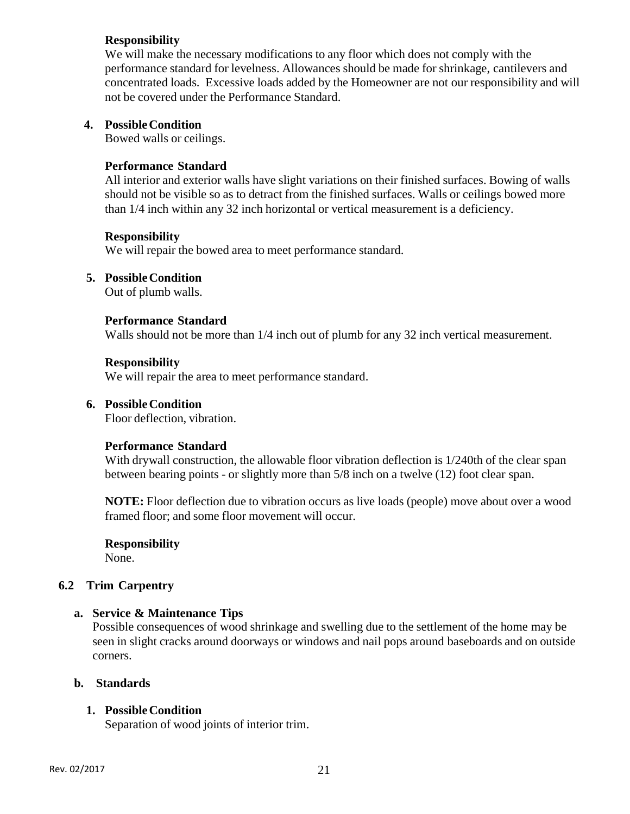#### **Responsibility**

We will make the necessary modifications to any floor which does not comply with the performance standard for levelness. Allowances should be made for shrinkage, cantilevers and concentrated loads. Excessive loads added by the Homeowner are not our responsibility and will not be covered under the Performance Standard.

## **4. Possible Condition**

Bowed walls or ceilings.

## **Performance Standard**

All interior and exterior walls have slight variations on their finished surfaces. Bowing of walls should not be visible so as to detract from the finished surfaces. Walls or ceilings bowed more than 1/4 inch within any 32 inch horizontal or vertical measurement is a deficiency.

#### **Responsibility**

We will repair the bowed area to meet performance standard.

## **5. Possible Condition**

Out of plumb walls.

## **Performance Standard**

Walls should not be more than 1/4 inch out of plumb for any 32 inch vertical measurement.

#### **Responsibility**

We will repair the area to meet performance standard.

## **6. Possible Condition**

Floor deflection, vibration.

#### **Performance Standard**

With drywall construction, the allowable floor vibration deflection is 1/240th of the clear span between bearing points - or slightly more than 5/8 inch on a twelve (12) foot clear span.

**NOTE:** Floor deflection due to vibration occurs as live loads (people) move about over a wood framed floor; and some floor movement will occur.

**Responsibility** 

None.

# **6.2 Trim Carpentry**

#### **a. Service & Maintenance Tips**

Possible consequences of wood shrinkage and swelling due to the settlement of the home may be seen in slight cracks around doorways or windows and nail pops around baseboards and on outside corners.

#### **b. Standards**

# **1. Possible Condition**

Separation of wood joints of interior trim.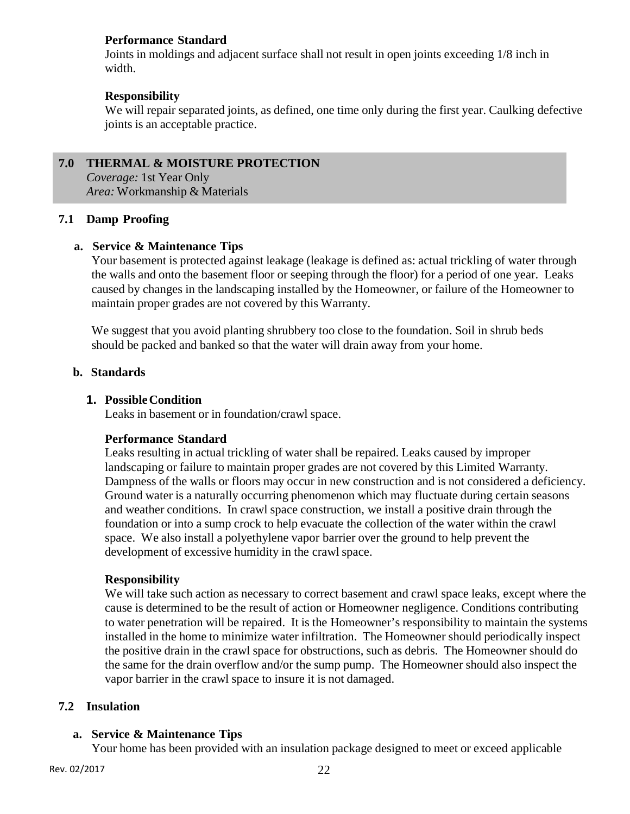## **Performance Standard**

Joints in moldings and adjacent surface shall not result in open joints exceeding 1/8 inch in width.

## **Responsibility**

We will repair separated joints, as defined, one time only during the first year. Caulking defective joints is an acceptable practice.

# **7.0 THERMAL & MOISTURE PROTECTION**

*Coverage:* 1st Year Only *Area:* Workmanship & Materials

## **7.1 Damp Proofing**

## **a. Service & Maintenance Tips**

Your basement is protected against leakage (leakage is defined as: actual trickling of water through the walls and onto the basement floor or seeping through the floor) for a period of one year. Leaks caused by changes in the landscaping installed by the Homeowner, or failure of the Homeowner to maintain proper grades are not covered by this Warranty.

We suggest that you avoid planting shrubbery too close to the foundation. Soil in shrub beds should be packed and banked so that the water will drain away from your home.

## **b. Standards**

## **1. Possible Condition**

Leaks in basement or in foundation/crawl space.

#### **Performance Standard**

Leaks resulting in actual trickling of water shall be repaired. Leaks caused by improper landscaping or failure to maintain proper grades are not covered by this Limited Warranty. Dampness of the walls or floors may occur in new construction and is not considered a deficiency. Ground water is a naturally occurring phenomenon which may fluctuate during certain seasons and weather conditions. In crawl space construction, we install a positive drain through the foundation or into a sump crock to help evacuate the collection of the water within the crawl space. We also install a polyethylene vapor barrier over the ground to help prevent the development of excessive humidity in the crawl space.

#### **Responsibility**

We will take such action as necessary to correct basement and crawl space leaks, except where the cause is determined to be the result of action or Homeowner negligence. Conditions contributing to water penetration will be repaired. It is the Homeowner's responsibility to maintain the systems installed in the home to minimize water infiltration. The Homeowner should periodically inspect the positive drain in the crawl space for obstructions, such as debris. The Homeowner should do the same for the drain overflow and/or the sump pump. The Homeowner should also inspect the vapor barrier in the crawl space to insure it is not damaged.

#### **7.2 Insulation**

#### **a. Service & Maintenance Tips**

Your home has been provided with an insulation package designed to meet or exceed applicable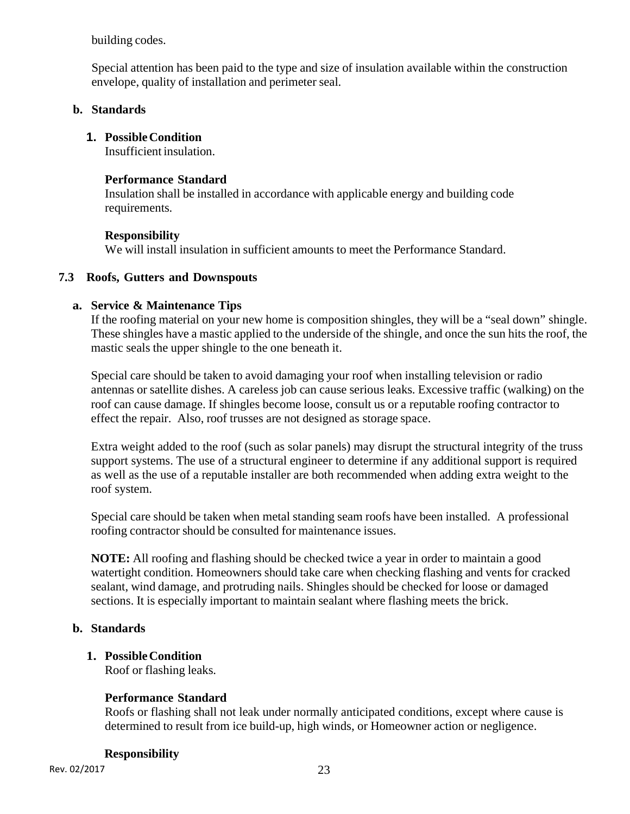building codes.

Special attention has been paid to the type and size of insulation available within the construction envelope, quality of installation and perimeter seal.

# **b. Standards**

# **1. Possible Condition**

Insufficient insulation.

# **Performance Standard**

Insulation shall be installed in accordance with applicable energy and building code requirements.

# **Responsibility**

We will install insulation in sufficient amounts to meet the Performance Standard.

# **7.3 Roofs, Gutters and Downspouts**

# **a. Service & Maintenance Tips**

If the roofing material on your new home is composition shingles, they will be a "seal down" shingle. These shingles have a mastic applied to the underside of the shingle, and once the sun hits the roof, the mastic seals the upper shingle to the one beneath it.

Special care should be taken to avoid damaging your roof when installing television or radio antennas or satellite dishes. A careless job can cause serious leaks. Excessive traffic (walking) on the roof can cause damage. If shingles become loose, consult us or a reputable roofing contractor to effect the repair. Also, roof trusses are not designed as storage space.

Extra weight added to the roof (such as solar panels) may disrupt the structural integrity of the truss support systems. The use of a structural engineer to determine if any additional support is required as well as the use of a reputable installer are both recommended when adding extra weight to the roof system.

Special care should be taken when metal standing seam roofs have been installed. A professional roofing contractor should be consulted for maintenance issues.

**NOTE:** All roofing and flashing should be checked twice a year in order to maintain a good watertight condition. Homeowners should take care when checking flashing and vents for cracked sealant, wind damage, and protruding nails. Shingles should be checked for loose or damaged sections. It is especially important to maintain sealant where flashing meets the brick.

# **b. Standards**

# **1. Possible Condition**

Roof or flashing leaks.

# **Performance Standard**

Roofs or flashing shall not leak under normally anticipated conditions, except where cause is determined to result from ice build-up, high winds, or Homeowner action or negligence.

# **Responsibility**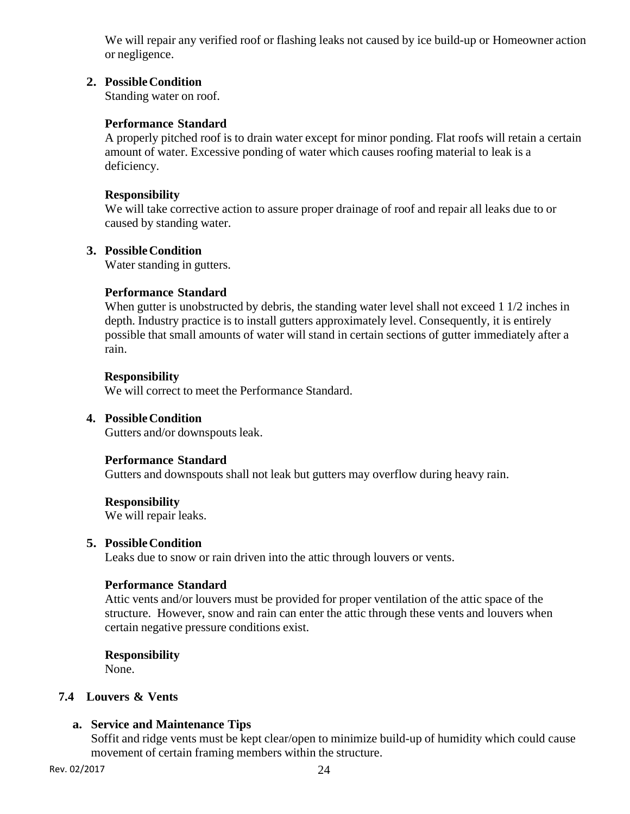We will repair any verified roof or flashing leaks not caused by ice build-up or Homeowner action or negligence.

#### **2. Possible Condition**

Standing water on roof.

## **Performance Standard**

A properly pitched roof is to drain water except for minor ponding. Flat roofs will retain a certain amount of water. Excessive ponding of water which causes roofing material to leak is a deficiency.

#### **Responsibility**

We will take corrective action to assure proper drainage of roof and repair all leaks due to or caused by standing water.

#### **3. Possible Condition**

Water standing in gutters.

## **Performance Standard**

When gutter is unobstructed by debris, the standing water level shall not exceed 1 1/2 inches in depth. Industry practice is to install gutters approximately level. Consequently, it is entirely possible that small amounts of water will stand in certain sections of gutter immediately after a rain.

#### **Responsibility**

We will correct to meet the Performance Standard.

## **4. Possible Condition**

Gutters and/or downspouts leak.

#### **Performance Standard**

Gutters and downspouts shall not leak but gutters may overflow during heavy rain.

#### **Responsibility**

We will repair leaks.

#### **5. Possible Condition**

Leaks due to snow or rain driven into the attic through louvers or vents.

#### **Performance Standard**

Attic vents and/or louvers must be provided for proper ventilation of the attic space of the structure. However, snow and rain can enter the attic through these vents and louvers when certain negative pressure conditions exist.

#### **Responsibility**

None.

## **7.4 Louvers & Vents**

#### **a. Service and Maintenance Tips**

Soffit and ridge vents must be kept clear/open to minimize build-up of humidity which could cause movement of certain framing members within the structure.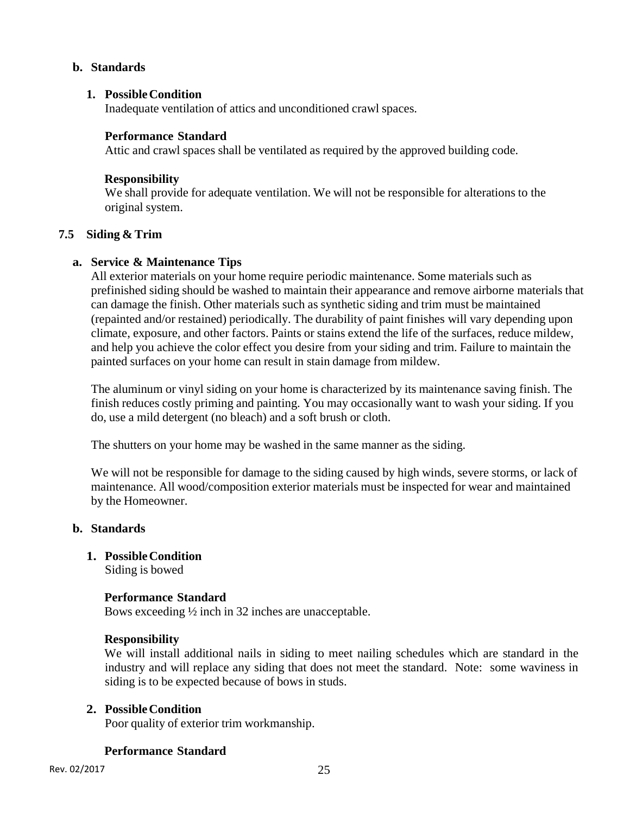#### **b. Standards**

#### **1. Possible Condition**

Inadequate ventilation of attics and unconditioned crawl spaces.

#### **Performance Standard**

Attic and crawl spaces shall be ventilated as required by the approved building code.

#### **Responsibility**

We shall provide for adequate ventilation. We will not be responsible for alterations to the original system.

#### **7.5 Siding & Trim**

#### **a. Service & Maintenance Tips**

All exterior materials on your home require periodic maintenance. Some materials such as prefinished siding should be washed to maintain their appearance and remove airborne materials that can damage the finish. Other materials such as synthetic siding and trim must be maintained (repainted and/or restained) periodically. The durability of paint finishes will vary depending upon climate, exposure, and other factors. Paints or stains extend the life of the surfaces, reduce mildew, and help you achieve the color effect you desire from your siding and trim. Failure to maintain the painted surfaces on your home can result in stain damage from mildew.

The aluminum or vinyl siding on your home is characterized by its maintenance saving finish. The finish reduces costly priming and painting. You may occasionally want to wash your siding. If you do, use a mild detergent (no bleach) and a soft brush or cloth.

The shutters on your home may be washed in the same manner as the siding.

We will not be responsible for damage to the siding caused by high winds, severe storms, or lack of maintenance. All wood/composition exterior materials must be inspected for wear and maintained by the Homeowner.

#### **b. Standards**

**1. Possible Condition** 

Siding is bowed

#### **Performance Standard**

Bows exceeding ½ inch in 32 inches are unacceptable.

#### **Responsibility**

We will install additional nails in siding to meet nailing schedules which are standard in the industry and will replace any siding that does not meet the standard. Note: some waviness in siding is to be expected because of bows in studs.

#### **2. Possible Condition**

Poor quality of exterior trim workmanship.

#### **Performance Standard**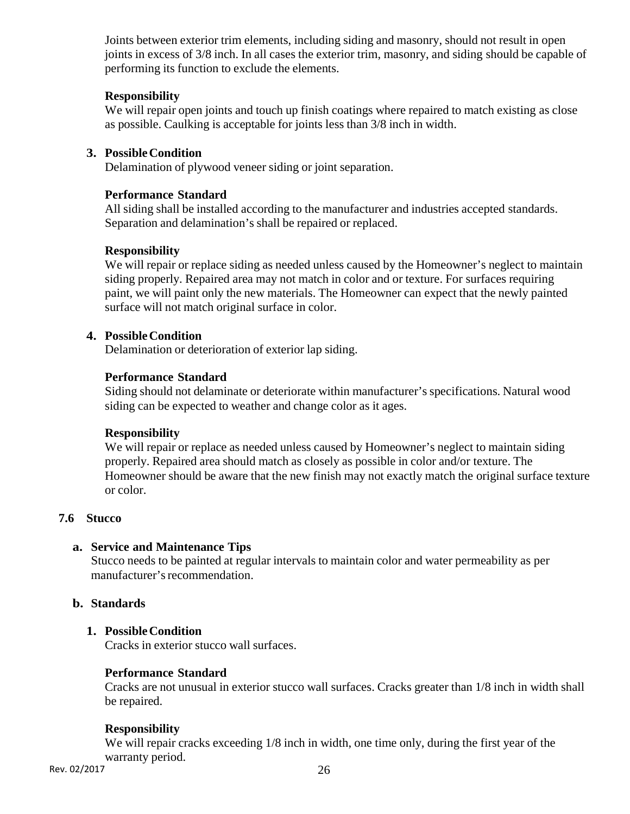Joints between exterior trim elements, including siding and masonry, should not result in open joints in excess of 3/8 inch. In all cases the exterior trim, masonry, and siding should be capable of performing its function to exclude the elements.

## **Responsibility**

We will repair open joints and touch up finish coatings where repaired to match existing as close as possible. Caulking is acceptable for joints less than 3/8 inch in width.

## **3. Possible Condition**

Delamination of plywood veneer siding or joint separation.

## **Performance Standard**

All siding shall be installed according to the manufacturer and industries accepted standards. Separation and delamination's shall be repaired or replaced.

## **Responsibility**

We will repair or replace siding as needed unless caused by the Homeowner's neglect to maintain siding properly. Repaired area may not match in color and or texture. For surfaces requiring paint, we will paint only the new materials. The Homeowner can expect that the newly painted surface will not match original surface in color.

## **4. Possible Condition**

Delamination or deterioration of exterior lap siding.

## **Performance Standard**

Siding should not delaminate or deteriorate within manufacturer's specifications. Natural wood siding can be expected to weather and change color as it ages.

#### **Responsibility**

We will repair or replace as needed unless caused by Homeowner's neglect to maintain siding properly. Repaired area should match as closely as possible in color and/or texture. The Homeowner should be aware that the new finish may not exactly match the original surface texture or color.

#### **7.6 Stucco**

#### **a. Service and Maintenance Tips**

Stucco needs to be painted at regular intervals to maintain color and water permeability as per manufacturer's recommendation.

#### **b. Standards**

#### **1. Possible Condition**

Cracks in exterior stucco wall surfaces.

#### **Performance Standard**

Cracks are not unusual in exterior stucco wall surfaces. Cracks greater than 1/8 inch in width shall be repaired.

#### **Responsibility**

We will repair cracks exceeding  $1/8$  inch in width, one time only, during the first year of the warranty period.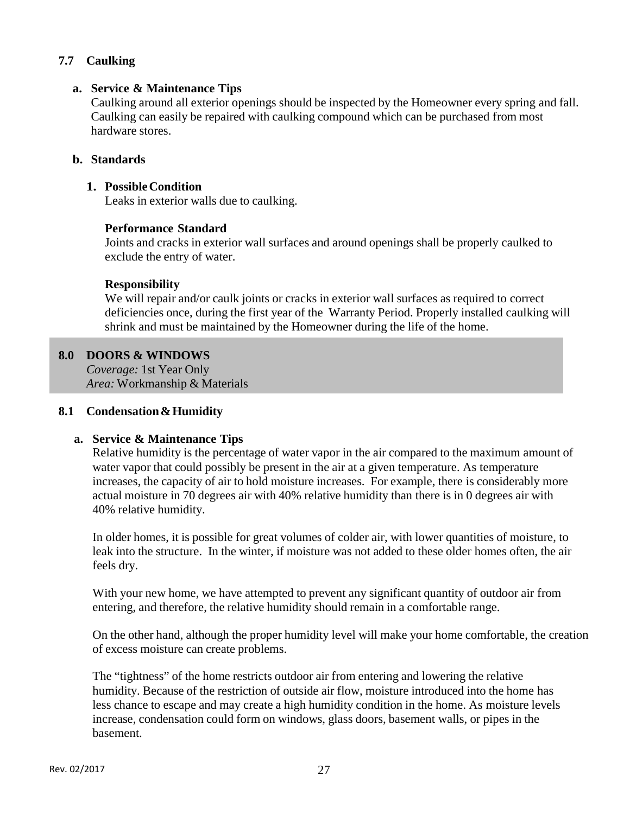# **7.7 Caulking**

#### **a. Service & Maintenance Tips**

Caulking around all exterior openings should be inspected by the Homeowner every spring and fall. Caulking can easily be repaired with caulking compound which can be purchased from most hardware stores.

# **b. Standards**

## **1. Possible Condition**

Leaks in exterior walls due to caulking.

## **Performance Standard**

Joints and cracks in exterior wall surfaces and around openings shall be properly caulked to exclude the entry of water.

## **Responsibility**

We will repair and/or caulk joints or cracks in exterior wall surfaces as required to correct deficiencies once, during the first year of the Warranty Period. Properly installed caulking will shrink and must be maintained by the Homeowner during the life of the home.

## **8.0 DOORS & WINDOWS**

í

*Coverage:* 1st Year Only *Area:* Workmanship & Materials

#### **8.1 Condensation & Humidity**

#### **a. Service & Maintenance Tips**

Relative humidity is the percentage of water vapor in the air compared to the maximum amount of water vapor that could possibly be present in the air at a given temperature. As temperature increases, the capacity of air to hold moisture increases. For example, there is considerably more actual moisture in 70 degrees air with 40% relative humidity than there is in 0 degrees air with 40% relative humidity.

In older homes, it is possible for great volumes of colder air, with lower quantities of moisture, to leak into the structure. In the winter, if moisture was not added to these older homes often, the air feels dry.

With your new home, we have attempted to prevent any significant quantity of outdoor air from entering, and therefore, the relative humidity should remain in a comfortable range.

On the other hand, although the proper humidity level will make your home comfortable, the creation of excess moisture can create problems.

The "tightness" of the home restricts outdoor air from entering and lowering the relative humidity. Because of the restriction of outside air flow, moisture introduced into the home has less chance to escape and may create a high humidity condition in the home. As moisture levels increase, condensation could form on windows, glass doors, basement walls, or pipes in the basement.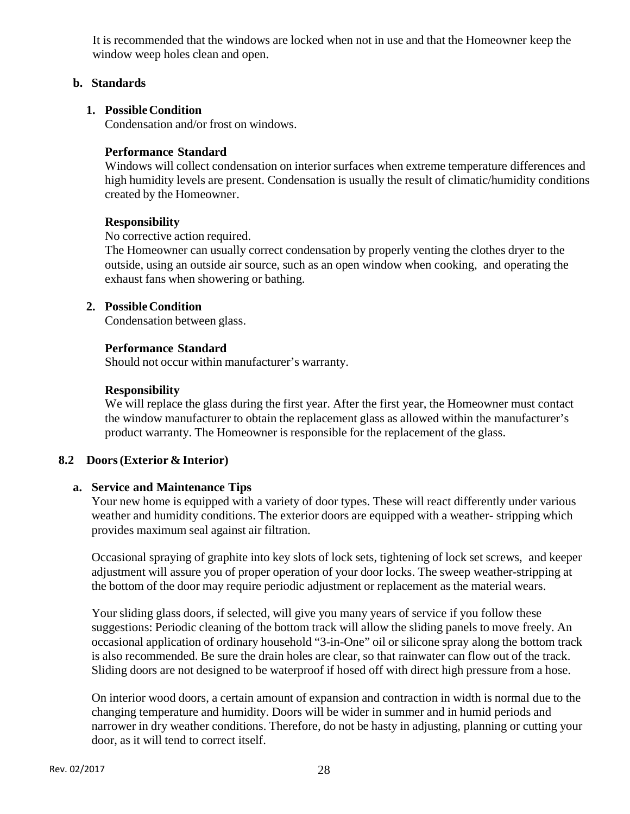It is recommended that the windows are locked when not in use and that the Homeowner keep the window weep holes clean and open.

#### **b. Standards**

## **1. Possible Condition**

Condensation and/or frost on windows.

## **Performance Standard**

Windows will collect condensation on interior surfaces when extreme temperature differences and high humidity levels are present. Condensation is usually the result of climatic/humidity conditions created by the Homeowner.

## **Responsibility**

No corrective action required.

The Homeowner can usually correct condensation by properly venting the clothes dryer to the outside, using an outside air source, such as an open window when cooking, and operating the exhaust fans when showering or bathing.

# **2. Possible Condition**

Condensation between glass.

# **Performance Standard**

Should not occur within manufacturer's warranty.

## **Responsibility**

We will replace the glass during the first year. After the first year, the Homeowner must contact the window manufacturer to obtain the replacement glass as allowed within the manufacturer's product warranty. The Homeowner is responsible for the replacement of the glass.

# **8.2 Doors (Exterior & Interior)**

#### **a. Service and Maintenance Tips**

Your new home is equipped with a variety of door types. These will react differently under various weather and humidity conditions. The exterior doors are equipped with a weather- stripping which provides maximum seal against air filtration.

Occasional spraying of graphite into key slots of lock sets, tightening of lock set screws, and keeper adjustment will assure you of proper operation of your door locks. The sweep weather-stripping at the bottom of the door may require periodic adjustment or replacement as the material wears.

Your sliding glass doors, if selected, will give you many years of service if you follow these suggestions: Periodic cleaning of the bottom track will allow the sliding panels to move freely. An occasional application of ordinary household "3-in-One" oil or silicone spray along the bottom track is also recommended. Be sure the drain holes are clear, so that rainwater can flow out of the track. Sliding doors are not designed to be waterproof if hosed off with direct high pressure from a hose.

On interior wood doors, a certain amount of expansion and contraction in width is normal due to the changing temperature and humidity. Doors will be wider in summer and in humid periods and narrower in dry weather conditions. Therefore, do not be hasty in adjusting, planning or cutting your door, as it will tend to correct itself.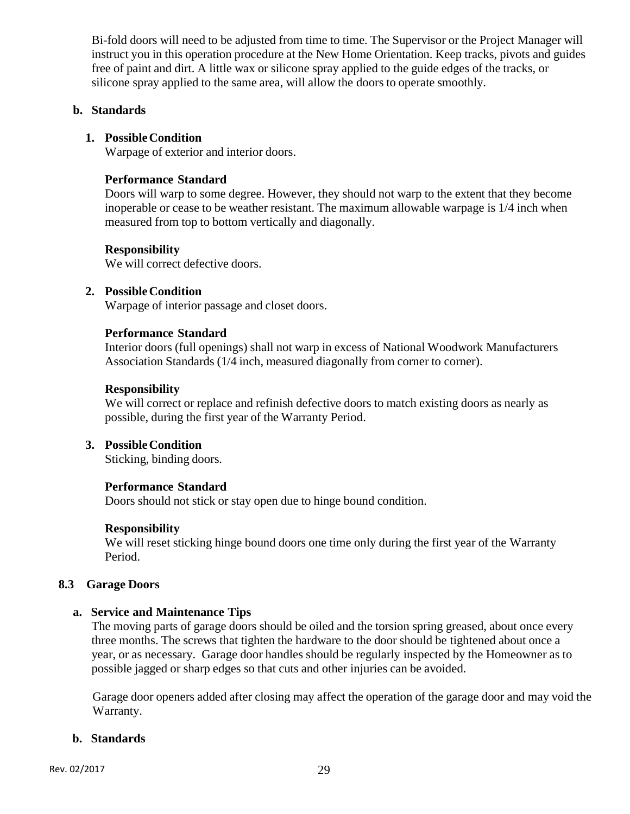Bi-fold doors will need to be adjusted from time to time. The Supervisor or the Project Manager will instruct you in this operation procedure at the New Home Orientation. Keep tracks, pivots and guides free of paint and dirt. A little wax or silicone spray applied to the guide edges of the tracks, or silicone spray applied to the same area, will allow the doors to operate smoothly.

#### **b. Standards**

#### **1. Possible Condition**

Warpage of exterior and interior doors.

#### **Performance Standard**

Doors will warp to some degree. However, they should not warp to the extent that they become inoperable or cease to be weather resistant. The maximum allowable warpage is 1/4 inch when measured from top to bottom vertically and diagonally.

#### **Responsibility**

We will correct defective doors.

#### **2. Possible Condition**

Warpage of interior passage and closet doors.

#### **Performance Standard**

Interior doors (full openings) shall not warp in excess of National Woodwork Manufacturers Association Standards (1/4 inch, measured diagonally from corner to corner).

#### **Responsibility**

We will correct or replace and refinish defective doors to match existing doors as nearly as possible, during the first year of the Warranty Period.

#### **3. Possible Condition**

Sticking, binding doors.

#### **Performance Standard**

Doors should not stick or stay open due to hinge bound condition.

#### **Responsibility**

We will reset sticking hinge bound doors one time only during the first year of the Warranty Period.

#### **8.3 Garage Doors**

#### **a. Service and Maintenance Tips**

The moving parts of garage doors should be oiled and the torsion spring greased, about once every three months. The screws that tighten the hardware to the door should be tightened about once a year, or as necessary. Garage door handles should be regularly inspected by the Homeowner as to possible jagged or sharp edges so that cuts and other injuries can be avoided.

Garage door openers added after closing may affect the operation of the garage door and may void the Warranty.

#### **b. Standards**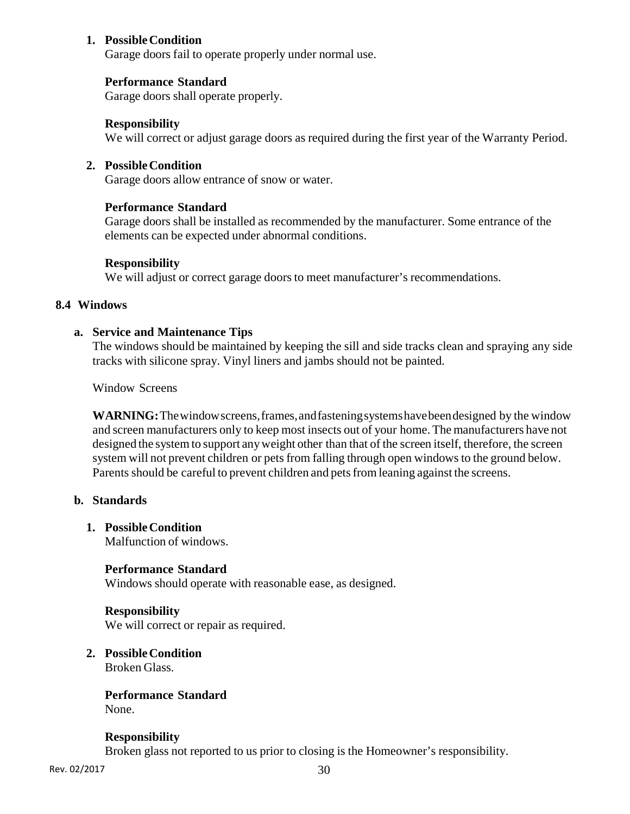#### **1. Possible Condition**

Garage doors fail to operate properly under normal use.

## **Performance Standard**

Garage doors shall operate properly.

#### **Responsibility**

We will correct or adjust garage doors as required during the first year of the Warranty Period.

#### **2. Possible Condition**

Garage doors allow entrance of snow or water.

#### **Performance Standard**

Garage doors shall be installed as recommended by the manufacturer. Some entrance of the elements can be expected under abnormal conditions.

#### **Responsibility**

We will adjust or correct garage doors to meet manufacturer's recommendations.

#### **8.4 Windows**

#### **a. Service and Maintenance Tips**

The windows should be maintained by keeping the sill and side tracks clean and spraying any side tracks with silicone spray. Vinyl liners and jambs should not be painted.

Window Screens

**WARNING:** The window screens, frames, and fastening systems have been designed by the window and screen manufacturers only to keep most insects out of your home. The manufacturers have not designed the system to support any weight other than that of the screen itself, therefore, the screen system will not prevent children or pets from falling through open windows to the ground below. Parents should be careful to prevent children and pets from leaning against the screens.

#### **b. Standards**

#### **1. Possible Condition**

Malfunction of windows.

#### **Performance Standard**

Windows should operate with reasonable ease, as designed.

#### **Responsibility**

We will correct or repair as required.

# **2. Possible Condition**

Broken Glass.

# **Performance Standard**

None.

#### **Responsibility**

Broken glass not reported to us prior to closing is the Homeowner's responsibility.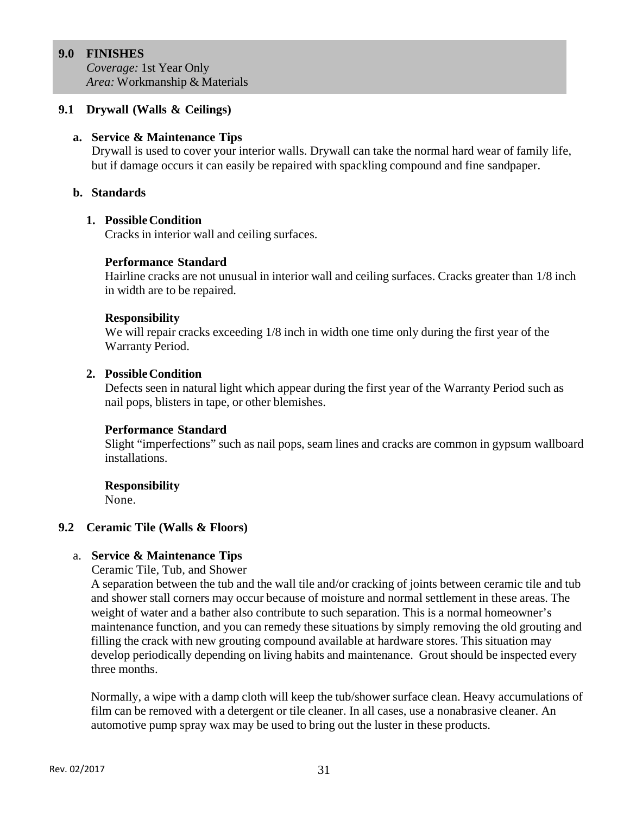## **9.0 FINISHES**

*Coverage:* 1st Year Only *Area:* Workmanship & Materials

## **9.1 Drywall (Walls & Ceilings)**

#### **a. Service & Maintenance Tips**

Drywall is used to cover your interior walls. Drywall can take the normal hard wear of family life, but if damage occurs it can easily be repaired with spackling compound and fine sandpaper.

## **b. Standards**

## **1. Possible Condition**

Cracks in interior wall and ceiling surfaces.

## **Performance Standard**

Hairline cracks are not unusual in interior wall and ceiling surfaces. Cracks greater than 1/8 inch in width are to be repaired.

#### **Responsibility**

We will repair cracks exceeding 1/8 inch in width one time only during the first year of the Warranty Period.

#### **2. Possible Condition**

Defects seen in natural light which appear during the first year of the Warranty Period such as nail pops, blisters in tape, or other blemishes.

#### **Performance Standard**

Slight "imperfections" such as nail pops, seam lines and cracks are common in gypsum wallboard installations.

#### **Responsibility**

None.

#### **9.2 Ceramic Tile (Walls & Floors)**

#### a. **Service & Maintenance Tips**

Ceramic Tile, Tub, and Shower

A separation between the tub and the wall tile and/or cracking of joints between ceramic tile and tub and shower stall corners may occur because of moisture and normal settlement in these areas. The weight of water and a bather also contribute to such separation. This is a normal homeowner's maintenance function, and you can remedy these situations by simply removing the old grouting and filling the crack with new grouting compound available at hardware stores. This situation may develop periodically depending on living habits and maintenance. Grout should be inspected every three months.

Normally, a wipe with a damp cloth will keep the tub/shower surface clean. Heavy accumulations of film can be removed with a detergent or tile cleaner. In all cases, use a nonabrasive cleaner. An automotive pump spray wax may be used to bring out the luster in these products.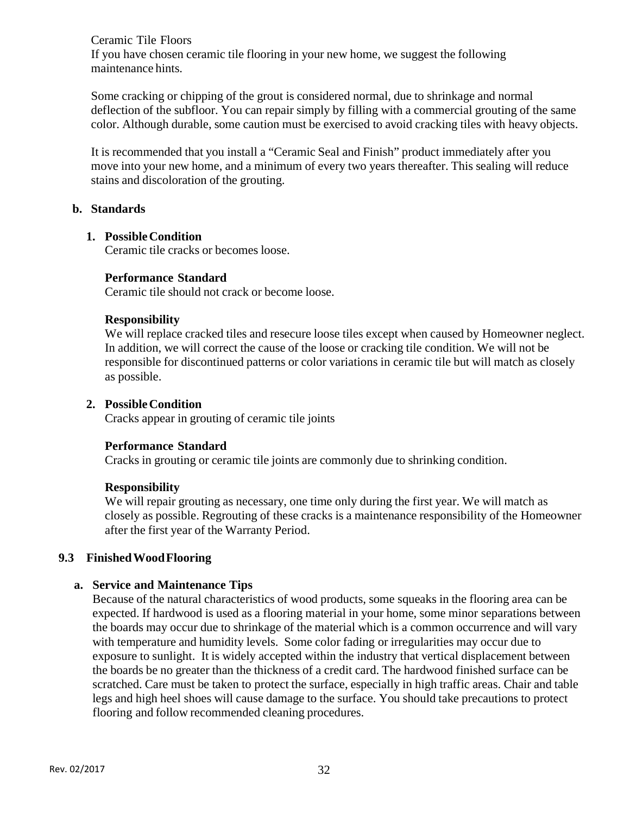Ceramic Tile Floors If you have chosen ceramic tile flooring in your new home, we suggest the following maintenance hints.

Some cracking or chipping of the grout is considered normal, due to shrinkage and normal deflection of the subfloor. You can repair simply by filling with a commercial grouting of the same color. Although durable, some caution must be exercised to avoid cracking tiles with heavy objects.

It is recommended that you install a "Ceramic Seal and Finish" product immediately after you move into your new home, and a minimum of every two years thereafter. This sealing will reduce stains and discoloration of the grouting.

#### **b. Standards**

#### **1. Possible Condition**

Ceramic tile cracks or becomes loose.

#### **Performance Standard**

Ceramic tile should not crack or become loose.

#### **Responsibility**

We will replace cracked tiles and resecure loose tiles except when caused by Homeowner neglect. In addition, we will correct the cause of the loose or cracking tile condition. We will not be responsible for discontinued patterns or color variations in ceramic tile but will match as closely as possible.

#### **2. Possible Condition**

Cracks appear in grouting of ceramic tile joints

#### **Performance Standard**

Cracks in grouting or ceramic tile joints are commonly due to shrinking condition.

#### **Responsibility**

We will repair grouting as necessary, one time only during the first year. We will match as closely as possible. Regrouting of these cracks is a maintenance responsibility of the Homeowner after the first year of the Warranty Period.

# **9.3 Finished Wood Flooring**

# **a. Service and Maintenance Tips**

Because of the natural characteristics of wood products, some squeaks in the flooring area can be expected. If hardwood is used as a flooring material in your home, some minor separations between the boards may occur due to shrinkage of the material which is a common occurrence and will vary with temperature and humidity levels. Some color fading or irregularities may occur due to exposure to sunlight. It is widely accepted within the industry that vertical displacement between the boards be no greater than the thickness of a credit card. The hardwood finished surface can be scratched. Care must be taken to protect the surface, especially in high traffic areas. Chair and table legs and high heel shoes will cause damage to the surface. You should take precautions to protect flooring and follow recommended cleaning procedures.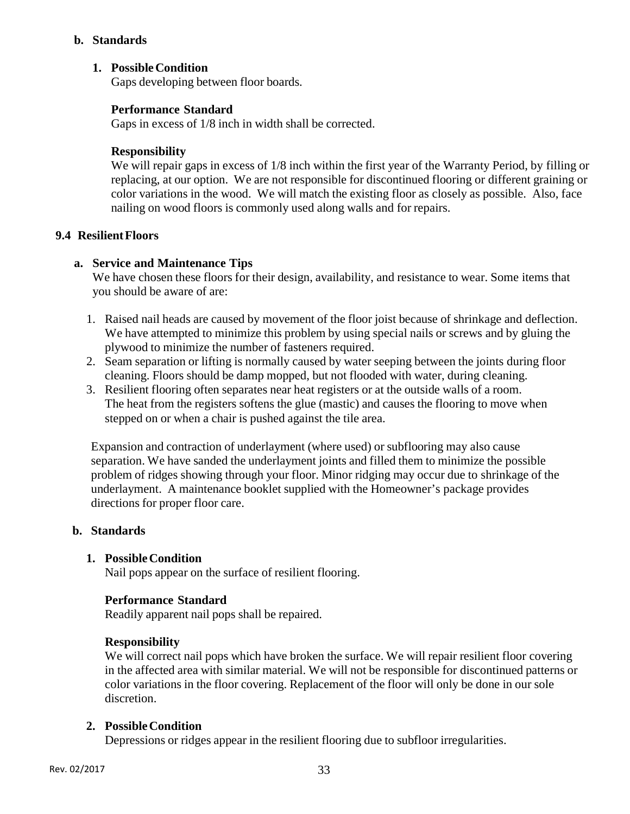## **b. Standards**

# **1. Possible Condition**

Gaps developing between floor boards.

#### **Performance Standard**

Gaps in excess of 1/8 inch in width shall be corrected.

#### **Responsibility**

We will repair gaps in excess of  $1/8$  inch within the first year of the Warranty Period, by filling or replacing, at our option. We are not responsible for discontinued flooring or different graining or color variations in the wood. We will match the existing floor as closely as possible. Also, face nailing on wood floors is commonly used along walls and for repairs.

#### **9.4 Resilient Floors**

## **a. Service and Maintenance Tips**

We have chosen these floors for their design, availability, and resistance to wear. Some items that you should be aware of are:

- 1. Raised nail heads are caused by movement of the floor joist because of shrinkage and deflection. We have attempted to minimize this problem by using special nails or screws and by gluing the plywood to minimize the number of fasteners required.
- 2. Seam separation or lifting is normally caused by water seeping between the joints during floor cleaning. Floors should be damp mopped, but not flooded with water, during cleaning.
- 3. Resilient flooring often separates near heat registers or at the outside walls of a room. The heat from the registers softens the glue (mastic) and causes the flooring to move when stepped on or when a chair is pushed against the tile area.

Expansion and contraction of underlayment (where used) or subflooring may also cause separation. We have sanded the underlayment joints and filled them to minimize the possible problem of ridges showing through your floor. Minor ridging may occur due to shrinkage of the underlayment. A maintenance booklet supplied with the Homeowner's package provides directions for proper floor care.

#### **b. Standards**

#### **1. Possible Condition**

Nail pops appear on the surface of resilient flooring.

#### **Performance Standard**

Readily apparent nail pops shall be repaired.

#### **Responsibility**

We will correct nail pops which have broken the surface. We will repair resilient floor covering in the affected area with similar material. We will not be responsible for discontinued patterns or color variations in the floor covering. Replacement of the floor will only be done in our sole discretion.

# **2. Possible Condition**

Depressions or ridges appear in the resilient flooring due to subfloor irregularities.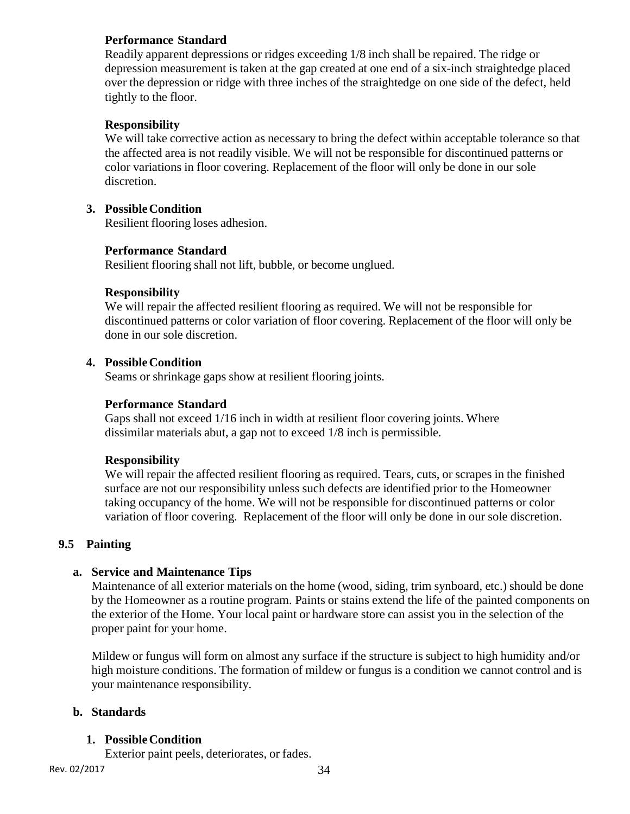## **Performance Standard**

Readily apparent depressions or ridges exceeding 1/8 inch shall be repaired. The ridge or depression measurement is taken at the gap created at one end of a six-inch straightedge placed over the depression or ridge with three inches of the straightedge on one side of the defect, held tightly to the floor.

## **Responsibility**

We will take corrective action as necessary to bring the defect within acceptable tolerance so that the affected area is not readily visible. We will not be responsible for discontinued patterns or color variations in floor covering. Replacement of the floor will only be done in our sole discretion.

## **3. Possible Condition**

Resilient flooring loses adhesion.

#### **Performance Standard**

Resilient flooring shall not lift, bubble, or become unglued.

#### **Responsibility**

We will repair the affected resilient flooring as required. We will not be responsible for discontinued patterns or color variation of floor covering. Replacement of the floor will only be done in our sole discretion.

## **4. Possible Condition**

Seams or shrinkage gaps show at resilient flooring joints.

## **Performance Standard**

Gaps shall not exceed 1/16 inch in width at resilient floor covering joints. Where dissimilar materials abut, a gap not to exceed 1/8 inch is permissible.

#### **Responsibility**

We will repair the affected resilient flooring as required. Tears, cuts, or scrapes in the finished surface are not our responsibility unless such defects are identified prior to the Homeowner taking occupancy of the home. We will not be responsible for discontinued patterns or color variation of floor covering. Replacement of the floor will only be done in our sole discretion.

#### **9.5 Painting**

#### **a. Service and Maintenance Tips**

Maintenance of all exterior materials on the home (wood, siding, trim synboard, etc.) should be done by the Homeowner as a routine program. Paints or stains extend the life of the painted components on the exterior of the Home. Your local paint or hardware store can assist you in the selection of the proper paint for your home.

Mildew or fungus will form on almost any surface if the structure is subject to high humidity and/or high moisture conditions. The formation of mildew or fungus is a condition we cannot control and is your maintenance responsibility.

# **b. Standards**

#### **1. Possible Condition**

Exterior paint peels, deteriorates, or fades.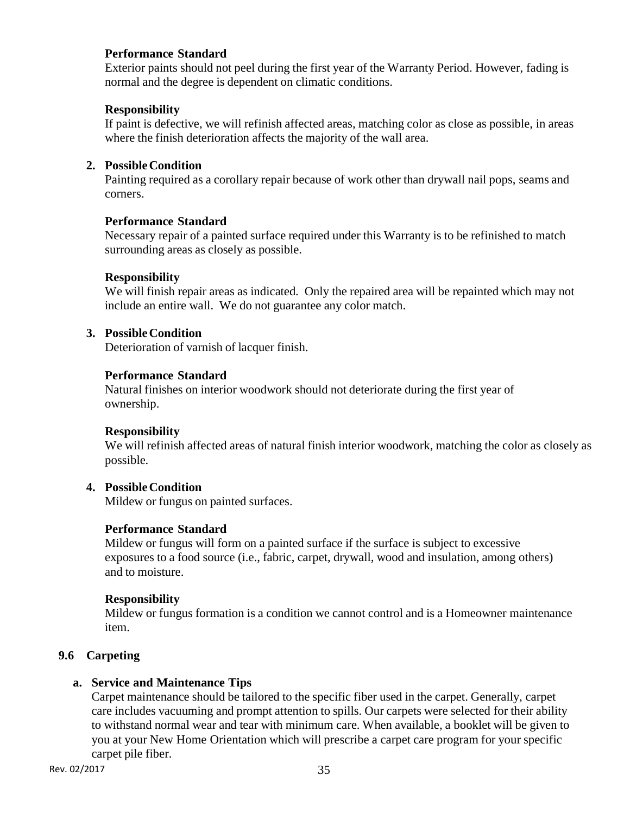## **Performance Standard**

Exterior paints should not peel during the first year of the Warranty Period. However, fading is normal and the degree is dependent on climatic conditions.

## **Responsibility**

If paint is defective, we will refinish affected areas, matching color as close as possible, in areas where the finish deterioration affects the majority of the wall area.

## **2. Possible Condition**

Painting required as a corollary repair because of work other than drywall nail pops, seams and corners.

## **Performance Standard**

Necessary repair of a painted surface required under this Warranty is to be refinished to match surrounding areas as closely as possible.

## **Responsibility**

We will finish repair areas as indicated. Only the repaired area will be repainted which may not include an entire wall. We do not guarantee any color match.

## **3. Possible Condition**

Deterioration of varnish of lacquer finish.

## **Performance Standard**

Natural finishes on interior woodwork should not deteriorate during the first year of ownership.

#### **Responsibility**

We will refinish affected areas of natural finish interior woodwork, matching the color as closely as possible.

# **4. Possible Condition**

Mildew or fungus on painted surfaces.

#### **Performance Standard**

Mildew or fungus will form on a painted surface if the surface is subject to excessive exposures to a food source (i.e., fabric, carpet, drywall, wood and insulation, among others) and to moisture.

#### **Responsibility**

Mildew or fungus formation is a condition we cannot control and is a Homeowner maintenance item.

# **9.6 Carpeting**

# **a. Service and Maintenance Tips**

Carpet maintenance should be tailored to the specific fiber used in the carpet. Generally, carpet care includes vacuuming and prompt attention to spills. Our carpets were selected for their ability to withstand normal wear and tear with minimum care. When available, a booklet will be given to you at your New Home Orientation which will prescribe a carpet care program for your specific carpet pile fiber.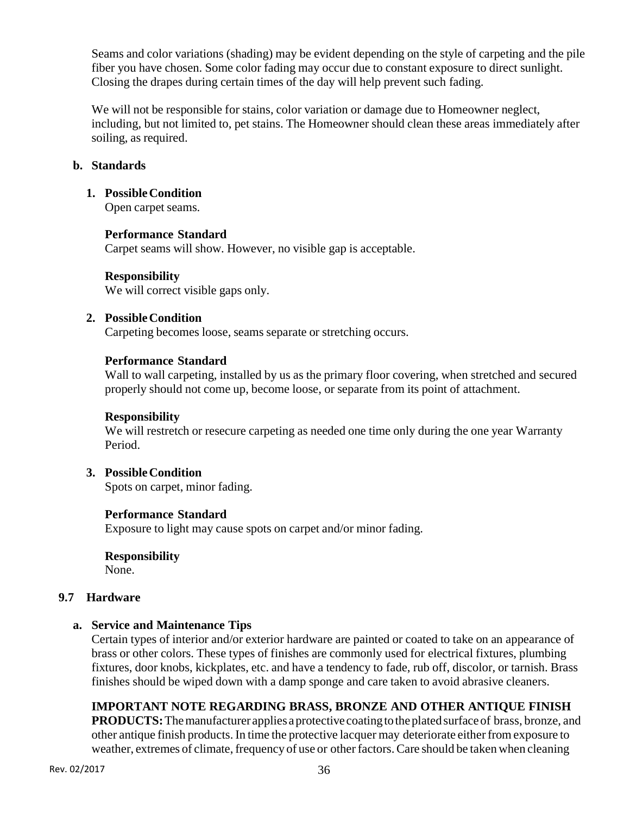Seams and color variations (shading) may be evident depending on the style of carpeting and the pile fiber you have chosen. Some color fading may occur due to constant exposure to direct sunlight. Closing the drapes during certain times of the day will help prevent such fading.

We will not be responsible for stains, color variation or damage due to Homeowner neglect, including, but not limited to, pet stains. The Homeowner should clean these areas immediately after soiling, as required.

## **b. Standards**

#### **1. Possible Condition**

Open carpet seams.

#### **Performance Standard**

Carpet seams will show. However, no visible gap is acceptable.

## **Responsibility**

We will correct visible gaps only.

## **2. Possible Condition**

Carpeting becomes loose, seams separate or stretching occurs.

## **Performance Standard**

Wall to wall carpeting, installed by us as the primary floor covering, when stretched and secured properly should not come up, become loose, or separate from its point of attachment.

#### **Responsibility**

We will restretch or resecure carpeting as needed one time only during the one year Warranty Period.

# **3. Possible Condition**

Spots on carpet, minor fading.

# **Performance Standard**

Exposure to light may cause spots on carpet and/or minor fading.

# **Responsibility**

None.

# **9.7 Hardware**

# **a. Service and Maintenance Tips**

Certain types of interior and/or exterior hardware are painted or coated to take on an appearance of brass or other colors. These types of finishes are commonly used for electrical fixtures, plumbing fixtures, door knobs, kickplates, etc. and have a tendency to fade, rub off, discolor, or tarnish. Brass finishes should be wiped down with a damp sponge and care taken to avoid abrasive cleaners.

# **IMPORTANT NOTE REGARDING BRASS, BRONZE AND OTHER ANTIQUE FINISH**

**PRODUCTS:** The manufacturer applies a protective coating to the plated surface of brass, bronze, and other antique finish products. In time the protective lacquer may deteriorate either from exposure to weather, extremes of climate, frequency of use or other factors. Care should be taken when cleaning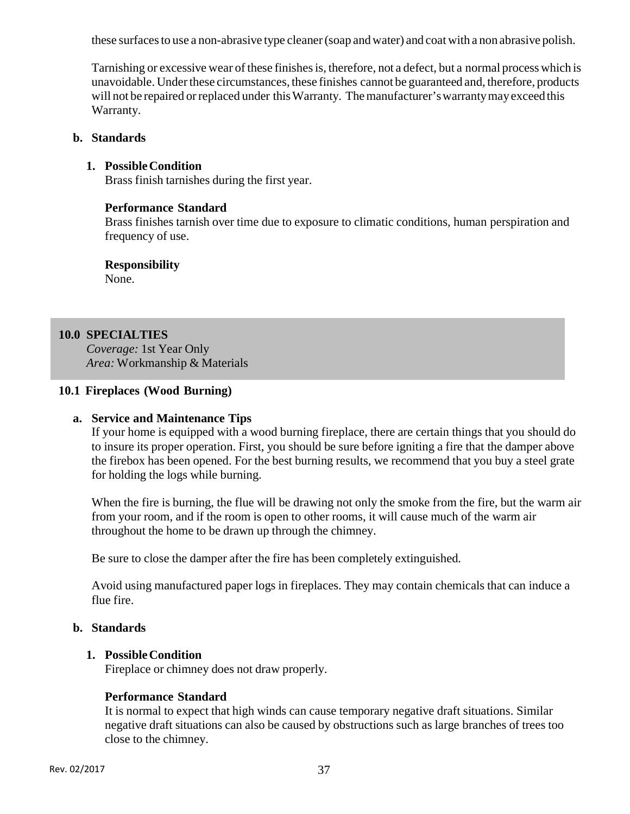these surfaces to use a non-abrasive type cleaner (soap and water) and coat with a non abrasive polish.

Tarnishing or excessive wear of these finishes is, therefore, not a defect, but a normal process which is unavoidable. Under these circumstances, these finishes cannot be guaranteed and, therefore, products will not be repaired or replaced under this Warranty. The manufacturer's warranty may exceed this Warranty.

#### **b. Standards**

#### **1. Possible Condition**

Brass finish tarnishes during the first year.

#### **Performance Standard**

Brass finishes tarnish over time due to exposure to climatic conditions, human perspiration and frequency of use.

#### **Responsibility**

None.

#### **10.0 SPECIALTIES**

*Coverage:* 1st Year Only *Area:* Workmanship & Materials

#### **10.1 Fireplaces (Wood Burning)**

#### **a. Service and Maintenance Tips**

If your home is equipped with a wood burning fireplace, there are certain things that you should do to insure its proper operation. First, you should be sure before igniting a fire that the damper above the firebox has been opened. For the best burning results, we recommend that you buy a steel grate for holding the logs while burning.

When the fire is burning, the flue will be drawing not only the smoke from the fire, but the warm air from your room, and if the room is open to other rooms, it will cause much of the warm air throughout the home to be drawn up through the chimney.

Be sure to close the damper after the fire has been completely extinguished.

Avoid using manufactured paper logs in fireplaces. They may contain chemicals that can induce a flue fire.

#### **b. Standards**

#### **1. Possible Condition**

Fireplace or chimney does not draw properly.

#### **Performance Standard**

It is normal to expect that high winds can cause temporary negative draft situations. Similar negative draft situations can also be caused by obstructions such as large branches of trees too close to the chimney.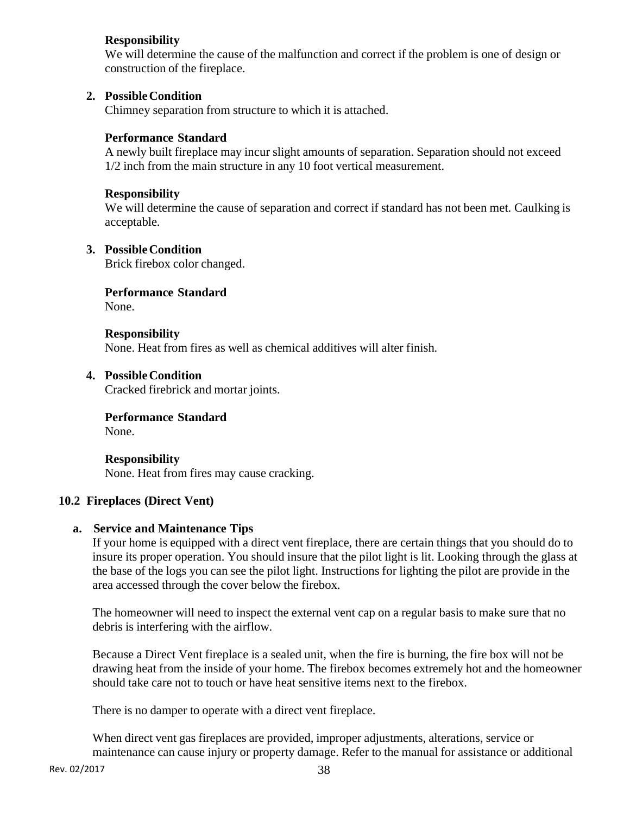## **Responsibility**

We will determine the cause of the malfunction and correct if the problem is one of design or construction of the fireplace.

## **2. Possible Condition**

Chimney separation from structure to which it is attached.

## **Performance Standard**

A newly built fireplace may incur slight amounts of separation. Separation should not exceed 1/2 inch from the main structure in any 10 foot vertical measurement.

#### **Responsibility**

We will determine the cause of separation and correct if standard has not been met. Caulking is acceptable.

#### **3. Possible Condition**

Brick firebox color changed.

# **Performance Standard**

None.

**Responsibility**  None. Heat from fires as well as chemical additives will alter finish.

## **4. Possible Condition**

Cracked firebrick and mortar joints.

#### **Performance Standard**

None.

**Responsibility**  None. Heat from fires may cause cracking.

#### **10.2 Fireplaces (Direct Vent)**

#### **a. Service and Maintenance Tips**

If your home is equipped with a direct vent fireplace, there are certain things that you should do to insure its proper operation. You should insure that the pilot light is lit. Looking through the glass at the base of the logs you can see the pilot light. Instructions for lighting the pilot are provide in the area accessed through the cover below the firebox.

The homeowner will need to inspect the external vent cap on a regular basis to make sure that no debris is interfering with the airflow.

Because a Direct Vent fireplace is a sealed unit, when the fire is burning, the fire box will not be drawing heat from the inside of your home. The firebox becomes extremely hot and the homeowner should take care not to touch or have heat sensitive items next to the firebox.

There is no damper to operate with a direct vent fireplace.

When direct vent gas fireplaces are provided, improper adjustments, alterations, service or maintenance can cause injury or property damage. Refer to the manual for assistance or additional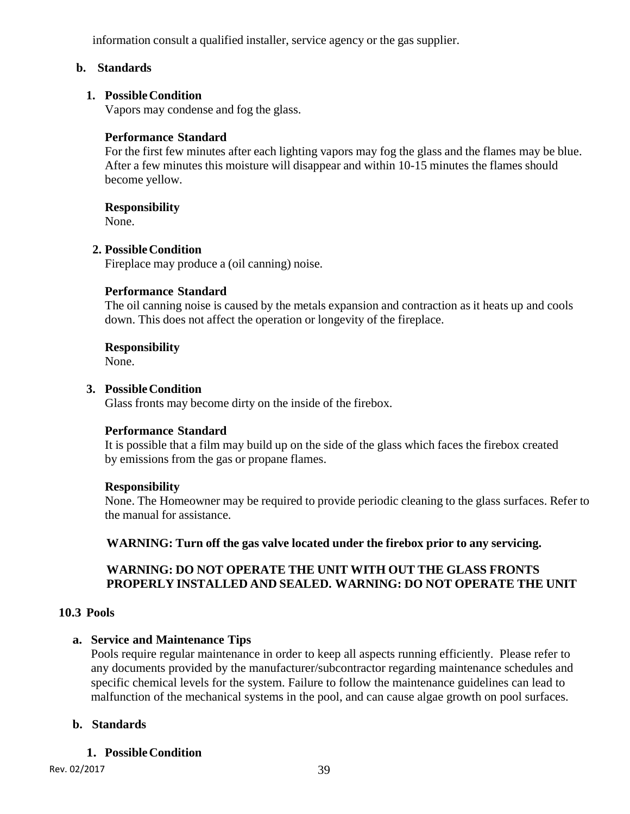information consult a qualified installer, service agency or the gas supplier.

## **b. Standards**

#### **1. Possible Condition**

Vapors may condense and fog the glass.

#### **Performance Standard**

For the first few minutes after each lighting vapors may fog the glass and the flames may be blue. After a few minutes this moisture will disappear and within 10-15 minutes the flames should become yellow.

#### **Responsibility**

None.

#### **2. Possible Condition**

Fireplace may produce a (oil canning) noise.

#### **Performance Standard**

The oil canning noise is caused by the metals expansion and contraction as it heats up and cools down. This does not affect the operation or longevity of the fireplace.

#### **Responsibility**

None.

#### **3. Possible Condition**

Glass fronts may become dirty on the inside of the firebox.

#### **Performance Standard**

It is possible that a film may build up on the side of the glass which faces the firebox created by emissions from the gas or propane flames.

#### **Responsibility**

None. The Homeowner may be required to provide periodic cleaning to the glass surfaces. Refer to the manual for assistance.

**WARNING: Turn off the gas valve located under the firebox prior to any servicing.** 

## **WARNING: DO NOT OPERATE THE UNIT WITH OUT THE GLASS FRONTS PROPERLY INSTALLED AND SEALED. WARNING: DO NOT OPERATE THE UNIT**

#### **10.3 Pools**

#### **a. Service and Maintenance Tips**

Pools require regular maintenance in order to keep all aspects running efficiently. Please refer to any documents provided by the manufacturer/subcontractor regarding maintenance schedules and specific chemical levels for the system. Failure to follow the maintenance guidelines can lead to malfunction of the mechanical systems in the pool, and can cause algae growth on pool surfaces.

#### **b. Standards**

#### **1. Possible Condition**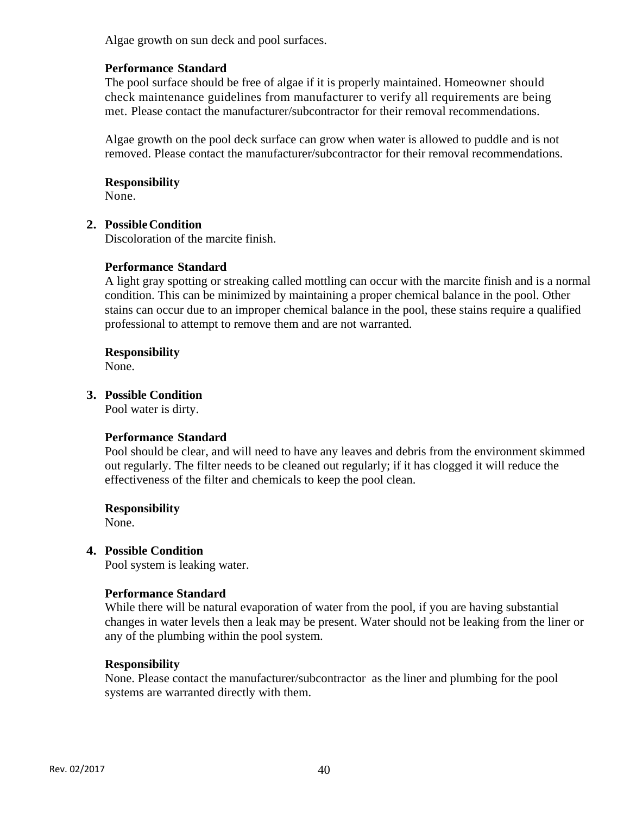Algae growth on sun deck and pool surfaces.

## **Performance Standard**

The pool surface should be free of algae if it is properly maintained. Homeowner should check maintenance guidelines from manufacturer to verify all requirements are being met. Please contact the manufacturer/subcontractor for their removal recommendations.

Algae growth on the pool deck surface can grow when water is allowed to puddle and is not removed. Please contact the manufacturer/subcontractor for their removal recommendations.

#### **Responsibility**

None.

#### **2. Possible Condition**

Discoloration of the marcite finish.

#### **Performance Standard**

A light gray spotting or streaking called mottling can occur with the marcite finish and is a normal condition. This can be minimized by maintaining a proper chemical balance in the pool. Other stains can occur due to an improper chemical balance in the pool, these stains require a qualified professional to attempt to remove them and are not warranted.

#### **Responsibility**

None.

## **3. Possible Condition**

Pool water is dirty.

#### **Performance Standard**

Pool should be clear, and will need to have any leaves and debris from the environment skimmed out regularly. The filter needs to be cleaned out regularly; if it has clogged it will reduce the effectiveness of the filter and chemicals to keep the pool clean.

#### **Responsibility**

None.

#### **4. Possible Condition**

Pool system is leaking water.

#### **Performance Standard**

While there will be natural evaporation of water from the pool, if you are having substantial changes in water levels then a leak may be present. Water should not be leaking from the liner or any of the plumbing within the pool system.

#### **Responsibility**

None. Please contact the manufacturer/subcontractor as the liner and plumbing for the pool systems are warranted directly with them.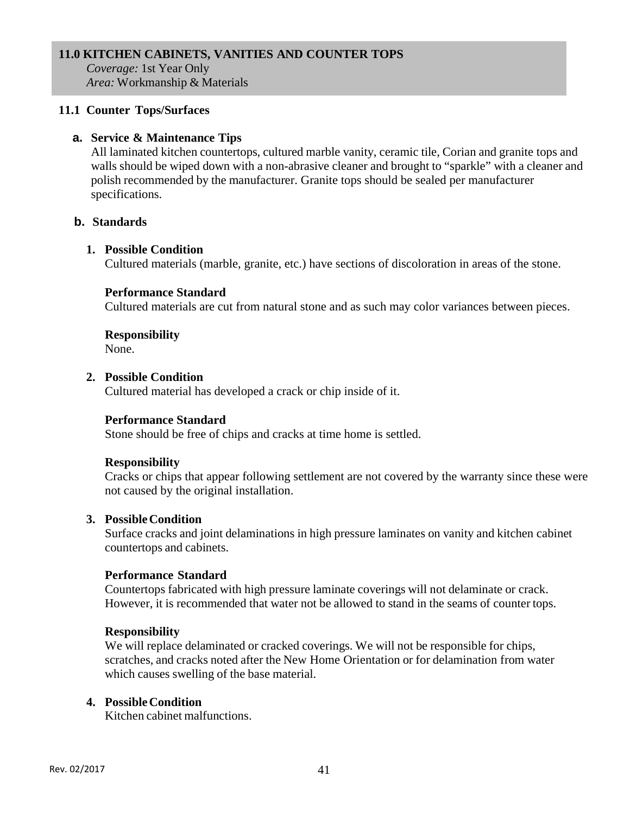#### **11.0 KITCHEN CABINETS, VANITIES AND COUNTER TOPS**

*Coverage:* 1st Year Only *Area:* Workmanship & Materials

## **11.1 Counter Tops/Surfaces**

## **a. Service & Maintenance Tips**

All laminated kitchen countertops, cultured marble vanity, ceramic tile, Corian and granite tops and walls should be wiped down with a non-abrasive cleaner and brought to "sparkle" with a cleaner and polish recommended by the manufacturer. Granite tops should be sealed per manufacturer specifications.

## **b. Standards**

#### **1. Possible Condition**

Cultured materials (marble, granite, etc.) have sections of discoloration in areas of the stone.

#### **Performance Standard**

Cultured materials are cut from natural stone and as such may color variances between pieces.

#### **Responsibility**

None.

#### **2. Possible Condition**

Cultured material has developed a crack or chip inside of it.

#### **Performance Standard**

Stone should be free of chips and cracks at time home is settled.

#### **Responsibility**

Cracks or chips that appear following settlement are not covered by the warranty since these were not caused by the original installation.

#### **3. Possible Condition**

Surface cracks and joint delaminations in high pressure laminates on vanity and kitchen cabinet countertops and cabinets.

#### **Performance Standard**

Countertops fabricated with high pressure laminate coverings will not delaminate or crack. However, it is recommended that water not be allowed to stand in the seams of counter tops.

#### **Responsibility**

We will replace delaminated or cracked coverings. We will not be responsible for chips, scratches, and cracks noted after the New Home Orientation or for delamination from water which causes swelling of the base material.

#### **4. Possible Condition**

Kitchen cabinet malfunctions.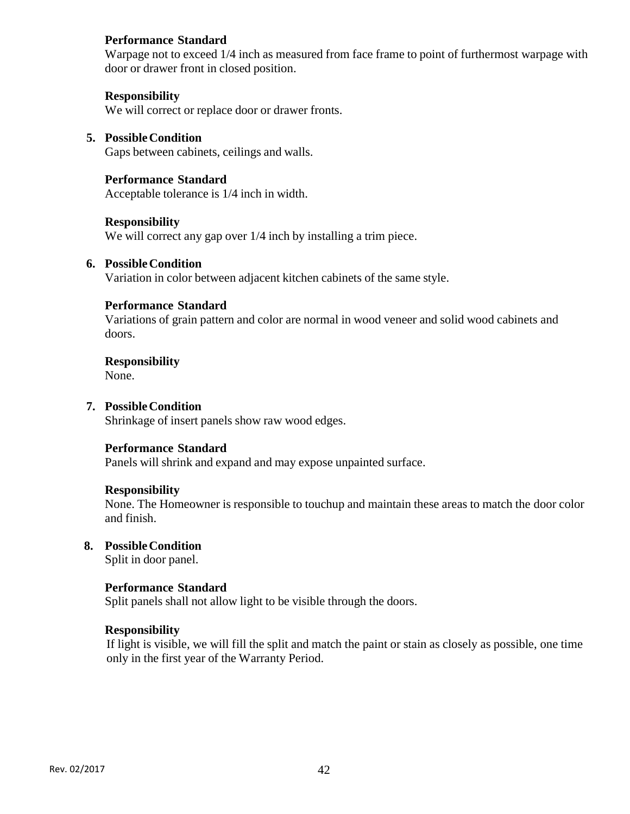#### **Performance Standard**

Warpage not to exceed 1/4 inch as measured from face frame to point of furthermost warpage with door or drawer front in closed position.

#### **Responsibility**

We will correct or replace door or drawer fronts.

#### **5. Possible Condition**  Gaps between cabinets, ceilings and walls.

**Performance Standard** 

# Acceptable tolerance is 1/4 inch in width.

#### **Responsibility**

We will correct any gap over  $1/4$  inch by installing a trim piece.

#### **6. Possible Condition**

Variation in color between adjacent kitchen cabinets of the same style.

#### **Performance Standard**

Variations of grain pattern and color are normal in wood veneer and solid wood cabinets and doors.

**Responsibility** 

None.

#### **7. Possible Condition**

Shrinkage of insert panels show raw wood edges.

#### **Performance Standard**

Panels will shrink and expand and may expose unpainted surface.

#### **Responsibility**

None. The Homeowner is responsible to touchup and maintain these areas to match the door color and finish.

#### **8. Possible Condition**

Split in door panel.

#### **Performance Standard**

Split panels shall not allow light to be visible through the doors.

#### **Responsibility**

If light is visible, we will fill the split and match the paint or stain as closely as possible, one time only in the first year of the Warranty Period.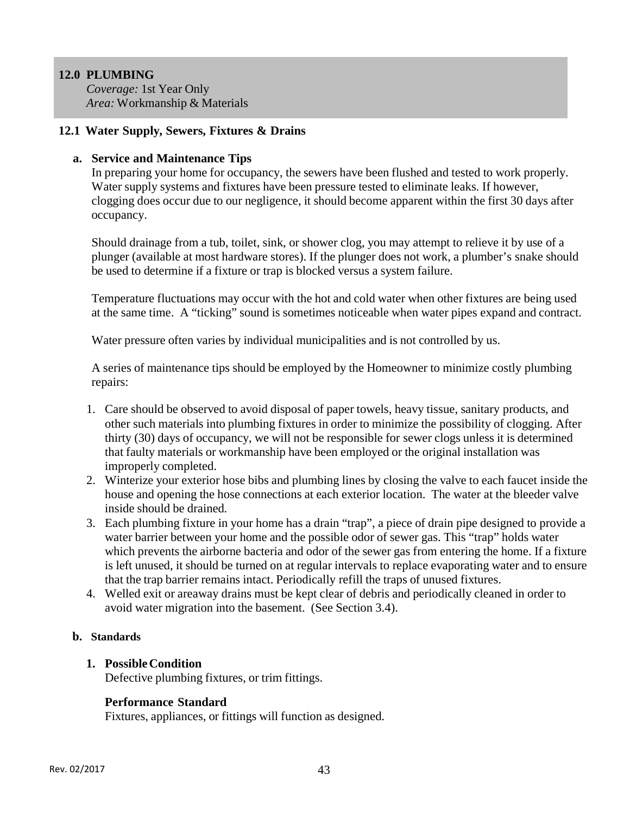# **12.0 PLUMBING**

*Coverage:* 1st Year Only *Area:* Workmanship & Materials

## **12.1 Water Supply, Sewers, Fixtures & Drains**

## **a. Service and Maintenance Tips**

In preparing your home for occupancy, the sewers have been flushed and tested to work properly. Water supply systems and fixtures have been pressure tested to eliminate leaks. If however, clogging does occur due to our negligence, it should become apparent within the first 30 days after occupancy.

Should drainage from a tub, toilet, sink, or shower clog, you may attempt to relieve it by use of a plunger (available at most hardware stores). If the plunger does not work, a plumber's snake should be used to determine if a fixture or trap is blocked versus a system failure.

Temperature fluctuations may occur with the hot and cold water when other fixtures are being used at the same time. A "ticking" sound is sometimes noticeable when water pipes expand and contract.

Water pressure often varies by individual municipalities and is not controlled by us.

A series of maintenance tips should be employed by the Homeowner to minimize costly plumbing repairs:

- 1. Care should be observed to avoid disposal of paper towels, heavy tissue, sanitary products, and other such materials into plumbing fixtures in order to minimize the possibility of clogging. After thirty (30) days of occupancy, we will not be responsible for sewer clogs unless it is determined that faulty materials or workmanship have been employed or the original installation was improperly completed.
- 2. Winterize your exterior hose bibs and plumbing lines by closing the valve to each faucet inside the house and opening the hose connections at each exterior location. The water at the bleeder valve inside should be drained.
- 3. Each plumbing fixture in your home has a drain "trap", a piece of drain pipe designed to provide a water barrier between your home and the possible odor of sewer gas. This "trap" holds water which prevents the airborne bacteria and odor of the sewer gas from entering the home. If a fixture is left unused, it should be turned on at regular intervals to replace evaporating water and to ensure that the trap barrier remains intact. Periodically refill the traps of unused fixtures.
- 4. Welled exit or areaway drains must be kept clear of debris and periodically cleaned in order to avoid water migration into the basement. (See Section 3.4).

#### **b. Standards**

# **1. Possible Condition**

Defective plumbing fixtures, or trim fittings.

# **Performance Standard**

Fixtures, appliances, or fittings will function as designed.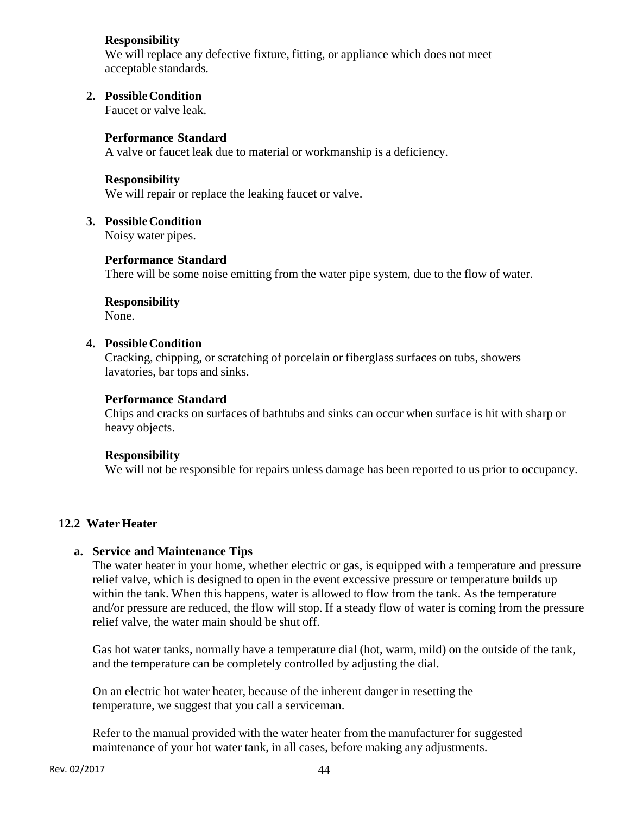## **Responsibility**

We will replace any defective fixture, fitting, or appliance which does not meet acceptable standards.

## **2. Possible Condition**

Faucet or valve leak.

## **Performance Standard**

A valve or faucet leak due to material or workmanship is a deficiency.

#### **Responsibility**

We will repair or replace the leaking faucet or valve.

#### **3. Possible Condition**

Noisy water pipes.

#### **Performance Standard**

There will be some noise emitting from the water pipe system, due to the flow of water.

# **Responsibility**

None.

#### **4. Possible Condition**

Cracking, chipping, or scratching of porcelain or fiberglass surfaces on tubs, showers lavatories, bar tops and sinks.

#### **Performance Standard**

Chips and cracks on surfaces of bathtubs and sinks can occur when surface is hit with sharp or heavy objects.

#### **Responsibility**

We will not be responsible for repairs unless damage has been reported to us prior to occupancy.

#### **12.2 Water Heater**

#### **a. Service and Maintenance Tips**

The water heater in your home, whether electric or gas, is equipped with a temperature and pressure relief valve, which is designed to open in the event excessive pressure or temperature builds up within the tank. When this happens, water is allowed to flow from the tank. As the temperature and/or pressure are reduced, the flow will stop. If a steady flow of water is coming from the pressure relief valve, the water main should be shut off.

Gas hot water tanks, normally have a temperature dial (hot, warm, mild) on the outside of the tank, and the temperature can be completely controlled by adjusting the dial.

On an electric hot water heater, because of the inherent danger in resetting the temperature, we suggest that you call a serviceman.

Refer to the manual provided with the water heater from the manufacturer for suggested maintenance of your hot water tank, in all cases, before making any adjustments.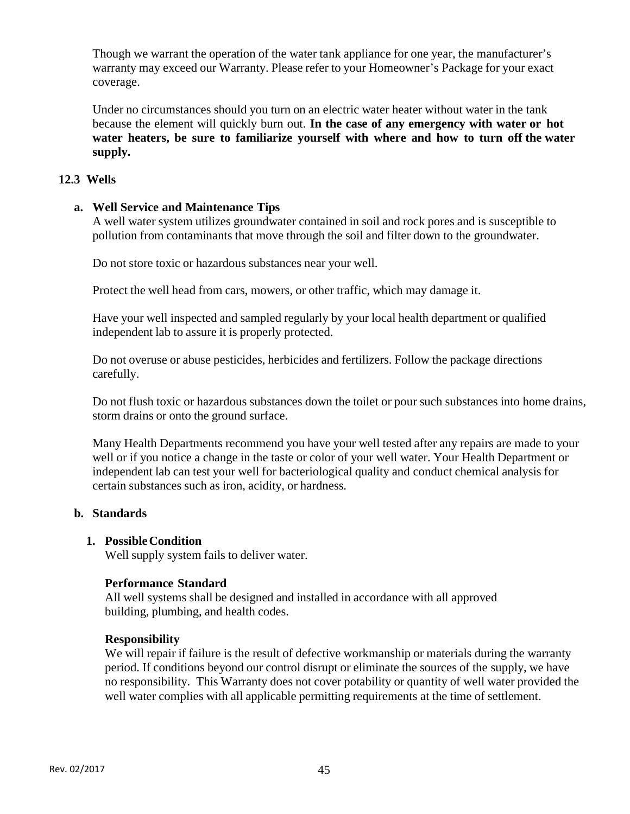Though we warrant the operation of the water tank appliance for one year, the manufacturer's warranty may exceed our Warranty. Please refer to your Homeowner's Package for your exact coverage.

Under no circumstances should you turn on an electric water heater without water in the tank because the element will quickly burn out. **In the case of any emergency with water or hot water heaters, be sure to familiarize yourself with where and how to turn off the water supply.**

## **12.3 Wells**

#### **a. Well Service and Maintenance Tips**

A well water system utilizes groundwater contained in soil and rock pores and is susceptible to pollution from contaminants that move through the soil and filter down to the groundwater.

Do not store toxic or hazardous substances near your well.

Protect the well head from cars, mowers, or other traffic, which may damage it.

Have your well inspected and sampled regularly by your local health department or qualified independent lab to assure it is properly protected.

Do not overuse or abuse pesticides, herbicides and fertilizers. Follow the package directions carefully.

Do not flush toxic or hazardous substances down the toilet or pour such substances into home drains, storm drains or onto the ground surface.

Many Health Departments recommend you have your well tested after any repairs are made to your well or if you notice a change in the taste or color of your well water. Your Health Department or independent lab can test your well for bacteriological quality and conduct chemical analysis for certain substances such as iron, acidity, or hardness.

#### **b. Standards**

#### **1. Possible Condition**

Well supply system fails to deliver water.

#### **Performance Standard**

All well systems shall be designed and installed in accordance with all approved building, plumbing, and health codes.

#### **Responsibility**

We will repair if failure is the result of defective workmanship or materials during the warranty period. If conditions beyond our control disrupt or eliminate the sources of the supply, we have no responsibility. This Warranty does not cover potability or quantity of well water provided the well water complies with all applicable permitting requirements at the time of settlement.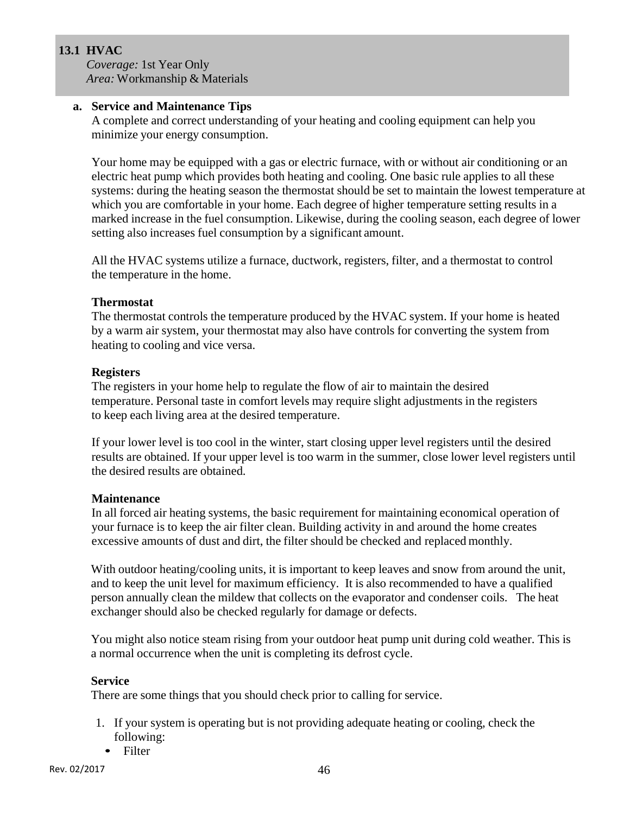# **13.1 HVAC**

*Coverage:* 1st Year Only *Area:* Workmanship & Materials

## **a. Service and Maintenance Tips**

A complete and correct understanding of your heating and cooling equipment can help you minimize your energy consumption.

Your home may be equipped with a gas or electric furnace, with or without air conditioning or an electric heat pump which provides both heating and cooling. One basic rule applies to all these systems: during the heating season the thermostat should be set to maintain the lowest temperature at which you are comfortable in your home. Each degree of higher temperature setting results in a marked increase in the fuel consumption. Likewise, during the cooling season, each degree of lower setting also increases fuel consumption by a significant amount.

All the HVAC systems utilize a furnace, ductwork, registers, filter, and a thermostat to control the temperature in the home.

# **Thermostat**

The thermostat controls the temperature produced by the HVAC system. If your home is heated by a warm air system, your thermostat may also have controls for converting the system from heating to cooling and vice versa.

## **Registers**

The registers in your home help to regulate the flow of air to maintain the desired temperature. Personal taste in comfort levels may require slight adjustments in the registers to keep each living area at the desired temperature.

If your lower level is too cool in the winter, start closing upper level registers until the desired results are obtained. If your upper level is too warm in the summer, close lower level registers until the desired results are obtained.

# **Maintenance**

In all forced air heating systems, the basic requirement for maintaining economical operation of your furnace is to keep the air filter clean. Building activity in and around the home creates excessive amounts of dust and dirt, the filter should be checked and replaced monthly.

With outdoor heating/cooling units, it is important to keep leaves and snow from around the unit, and to keep the unit level for maximum efficiency. It is also recommended to have a qualified person annually clean the mildew that collects on the evaporator and condenser coils. The heat exchanger should also be checked regularly for damage or defects.

You might also notice steam rising from your outdoor heat pump unit during cold weather. This is a normal occurrence when the unit is completing its defrost cycle.

#### **Service**

There are some things that you should check prior to calling for service.

- 1. If your system is operating but is not providing adequate heating or cooling, check the following:
	- Filter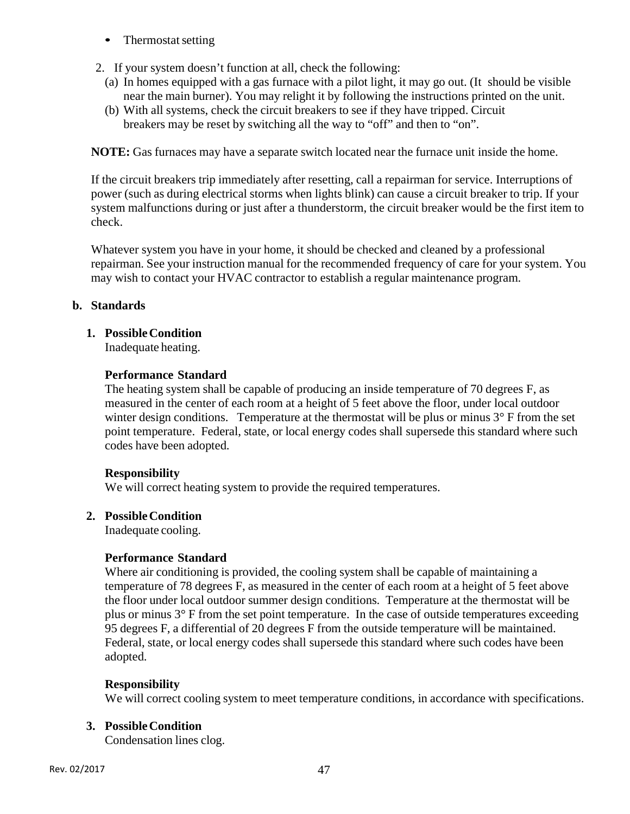- Thermostat setting
- 2. If your system doesn't function at all, check the following:
	- (a) In homes equipped with a gas furnace with a pilot light, it may go out. (It should be visible near the main burner). You may relight it by following the instructions printed on the unit.
	- (b) With all systems, check the circuit breakers to see if they have tripped. Circuit breakers may be reset by switching all the way to "off" and then to "on".

**NOTE:** Gas furnaces may have a separate switch located near the furnace unit inside the home.

If the circuit breakers trip immediately after resetting, call a repairman for service. Interruptions of power (such as during electrical storms when lights blink) can cause a circuit breaker to trip. If your system malfunctions during or just after a thunderstorm, the circuit breaker would be the first item to check.

Whatever system you have in your home, it should be checked and cleaned by a professional repairman. See your instruction manual for the recommended frequency of care for your system. You may wish to contact your HVAC contractor to establish a regular maintenance program.

## **b. Standards**

## **1. Possible Condition**

Inadequate heating.

#### **Performance Standard**

The heating system shall be capable of producing an inside temperature of 70 degrees F, as measured in the center of each room at a height of 5 feet above the floor, under local outdoor winter design conditions. Temperature at the thermostat will be plus or minus  $3^\circ$  F from the set point temperature. Federal, state, or local energy codes shall supersede this standard where such codes have been adopted.

#### **Responsibility**

We will correct heating system to provide the required temperatures.

#### **2. Possible Condition**

Inadequate cooling.

#### **Performance Standard**

Where air conditioning is provided, the cooling system shall be capable of maintaining a temperature of 78 degrees F, as measured in the center of each room at a height of 5 feet above the floor under local outdoor summer design conditions. Temperature at the thermostat will be plus or minus 3° F from the set point temperature. In the case of outside temperatures exceeding 95 degrees F, a differential of 20 degrees F from the outside temperature will be maintained. Federal, state, or local energy codes shall supersede this standard where such codes have been adopted.

#### **Responsibility**

We will correct cooling system to meet temperature conditions, in accordance with specifications.

#### **3. Possible Condition**

Condensation lines clog.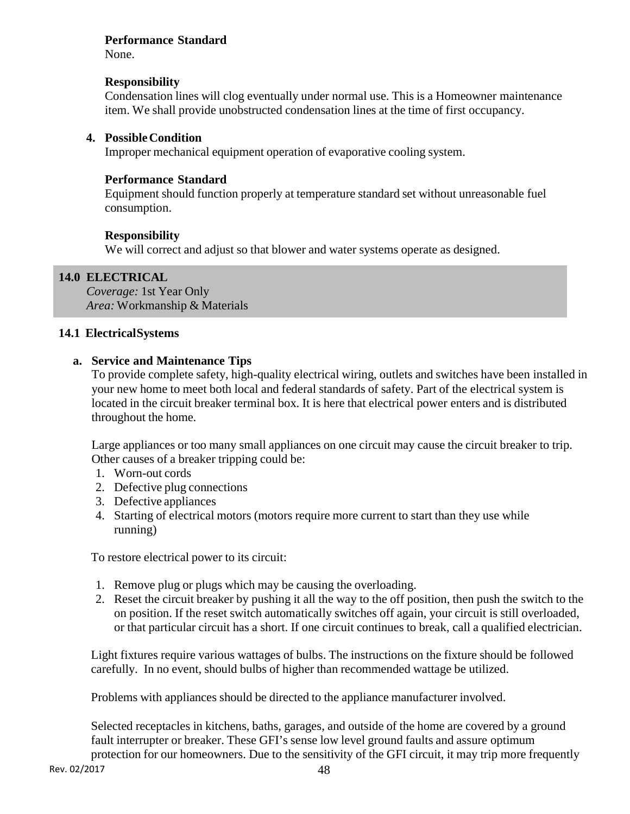#### **Performance Standard**

None.

## **Responsibility**

Condensation lines will clog eventually under normal use. This is a Homeowner maintenance item. We shall provide unobstructed condensation lines at the time of first occupancy.

## **4. Possible Condition**

Improper mechanical equipment operation of evaporative cooling system.

## **Performance Standard**

Equipment should function properly at temperature standard set without unreasonable fuel consumption.

#### **Responsibility**

We will correct and adjust so that blower and water systems operate as designed.

# **14.0 ELECTRICAL**

*Coverage:* 1st Year Only *Area:* Workmanship & Materials

#### **14.1 Electrical Systems**

#### **a. Service and Maintenance Tips**

To provide complete safety, high-quality electrical wiring, outlets and switches have been installed in your new home to meet both local and federal standards of safety. Part of the electrical system is located in the circuit breaker terminal box. It is here that electrical power enters and is distributed throughout the home.

Large appliances or too many small appliances on one circuit may cause the circuit breaker to trip. Other causes of a breaker tripping could be:

- 1. Worn-out cords
- 2. Defective plug connections
- 3. Defective appliances
- 4. Starting of electrical motors (motors require more current to start than they use while running)

To restore electrical power to its circuit:

- 1. Remove plug or plugs which may be causing the overloading.
- 2. Reset the circuit breaker by pushing it all the way to the off position, then push the switch to the on position. If the reset switch automatically switches off again, your circuit is still overloaded, or that particular circuit has a short. If one circuit continues to break, call a qualified electrician.

Light fixtures require various wattages of bulbs. The instructions on the fixture should be followed carefully. In no event, should bulbs of higher than recommended wattage be utilized.

Problems with appliances should be directed to the appliance manufacturer involved.

Selected receptacles in kitchens, baths, garages, and outside of the home are covered by a ground fault interrupter or breaker. These GFI's sense low level ground faults and assure optimum protection for our homeowners. Due to the sensitivity of the GFI circuit, it may trip more frequently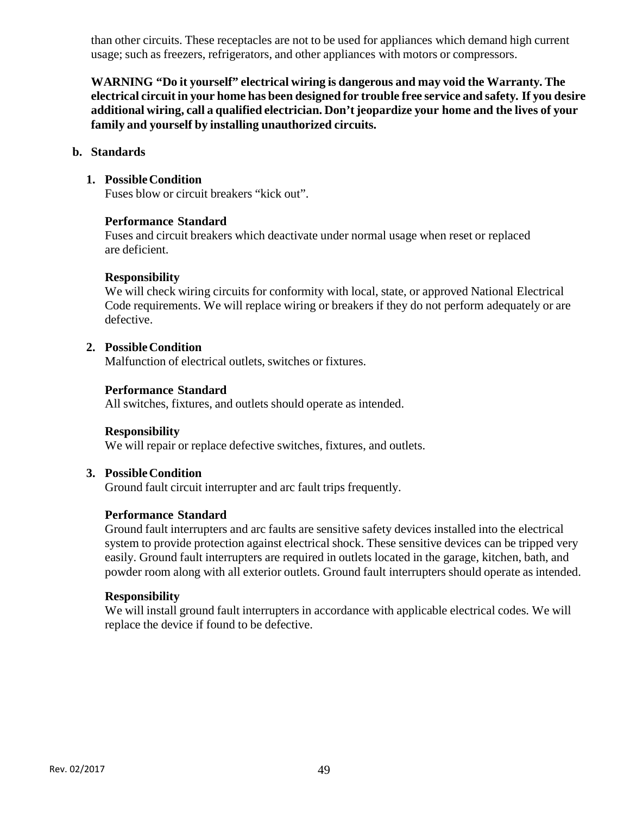than other circuits. These receptacles are not to be used for appliances which demand high current usage; such as freezers, refrigerators, and other appliances with motors or compressors.

**WARNING "Do it yourself" electrical wiring is dangerous and may void the Warranty. The electrical circuit in your home has been designed for trouble free service and safety. If you desire additional wiring, call a qualified electrician. Don't jeopardize your home and the lives of your family and yourself by installing unauthorized circuits.** 

#### **b. Standards**

#### **1. Possible Condition**

Fuses blow or circuit breakers "kick out".

#### **Performance Standard**

Fuses and circuit breakers which deactivate under normal usage when reset or replaced are deficient.

#### **Responsibility**

We will check wiring circuits for conformity with local, state, or approved National Electrical Code requirements. We will replace wiring or breakers if they do not perform adequately or are defective.

#### **2. Possible Condition**

Malfunction of electrical outlets, switches or fixtures.

#### **Performance Standard**

All switches, fixtures, and outlets should operate as intended.

#### **Responsibility**

We will repair or replace defective switches, fixtures, and outlets.

#### **3. Possible Condition**

Ground fault circuit interrupter and arc fault trips frequently.

#### **Performance Standard**

Ground fault interrupters and arc faults are sensitive safety devices installed into the electrical system to provide protection against electrical shock. These sensitive devices can be tripped very easily. Ground fault interrupters are required in outlets located in the garage, kitchen, bath, and powder room along with all exterior outlets. Ground fault interrupters should operate as intended.

#### **Responsibility**

We will install ground fault interrupters in accordance with applicable electrical codes. We will replace the device if found to be defective.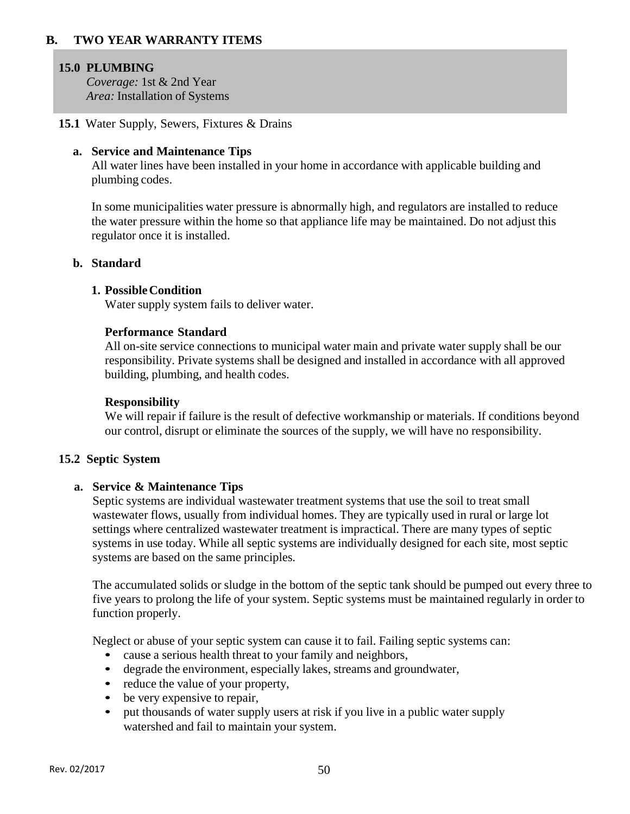#### **B. TWO YEAR WARRANTY ITEMS**

#### **15.0 PLUMBING**

*Coverage:* 1st & 2nd Year *Area:* Installation of Systems

**15.1** Water Supply, Sewers, Fixtures & Drains

#### **a. Service and Maintenance Tips**

All water lines have been installed in your home in accordance with applicable building and plumbing codes.

In some municipalities water pressure is abnormally high, and regulators are installed to reduce the water pressure within the home so that appliance life may be maintained. Do not adjust this regulator once it is installed.

#### **b. Standard**

#### **1. Possible Condition**

Water supply system fails to deliver water.

#### **Performance Standard**

All on-site service connections to municipal water main and private water supply shall be our responsibility. Private systems shall be designed and installed in accordance with all approved building, plumbing, and health codes.

#### **Responsibility**

We will repair if failure is the result of defective workmanship or materials. If conditions beyond our control, disrupt or eliminate the sources of the supply, we will have no responsibility.

#### **15.2 Septic System**

#### **a. Service & Maintenance Tips**

Septic systems are individual wastewater treatment systems that use the soil to treat small wastewater flows, usually from individual homes. They are typically used in rural or large lot settings where centralized wastewater treatment is impractical. There are many types of septic systems in use today. While all septic systems are individually designed for each site, most septic systems are based on the same principles.

The accumulated solids or sludge in the bottom of the septic tank should be pumped out every three to five years to prolong the life of your system. Septic systems must be maintained regularly in order to function properly.

Neglect or abuse of your septic system can cause it to fail. Failing septic systems can:

- cause a serious health threat to your family and neighbors,
- degrade the environment, especially lakes, streams and groundwater,
- reduce the value of your property,
- be very expensive to repair,
- put thousands of water supply users at risk if you live in a public water supply watershed and fail to maintain your system.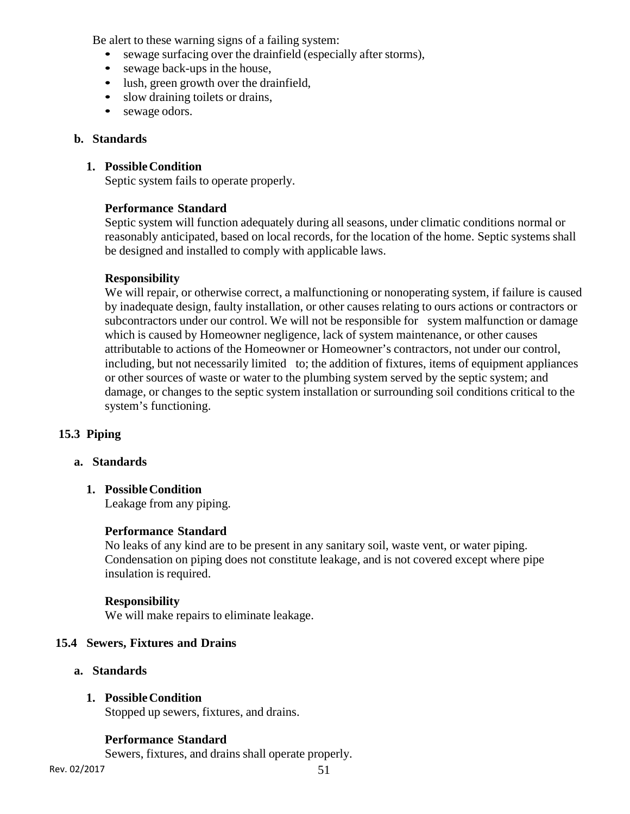Be alert to these warning signs of a failing system:

- sewage surfacing over the drainfield (especially after storms),
- sewage back-ups in the house,
- lush, green growth over the drainfield,
- slow draining toilets or drains,
- sewage odors.

#### **b. Standards**

## **1. Possible Condition**

Septic system fails to operate properly.

#### **Performance Standard**

Septic system will function adequately during all seasons, under climatic conditions normal or reasonably anticipated, based on local records, for the location of the home. Septic systems shall be designed and installed to comply with applicable laws.

#### **Responsibility**

We will repair, or otherwise correct, a malfunctioning or nonoperating system, if failure is caused by inadequate design, faulty installation, or other causes relating to ours actions or contractors or subcontractors under our control. We will not be responsible for system malfunction or damage which is caused by Homeowner negligence, lack of system maintenance, or other causes attributable to actions of the Homeowner or Homeowner's contractors, not under our control, including, but not necessarily limited to; the addition of fixtures, items of equipment appliances or other sources of waste or water to the plumbing system served by the septic system; and damage, or changes to the septic system installation or surrounding soil conditions critical to the system's functioning.

#### **15.3 Piping**

#### **a. Standards**

**1. Possible Condition**  Leakage from any piping.

#### **Performance Standard**

No leaks of any kind are to be present in any sanitary soil, waste vent, or water piping. Condensation on piping does not constitute leakage, and is not covered except where pipe insulation is required.

#### **Responsibility**

We will make repairs to eliminate leakage.

#### **15.4 Sewers, Fixtures and Drains**

**a. Standards** 

## **1. Possible Condition**

Stopped up sewers, fixtures, and drains.

#### **Performance Standard**

Sewers, fixtures, and drains shall operate properly.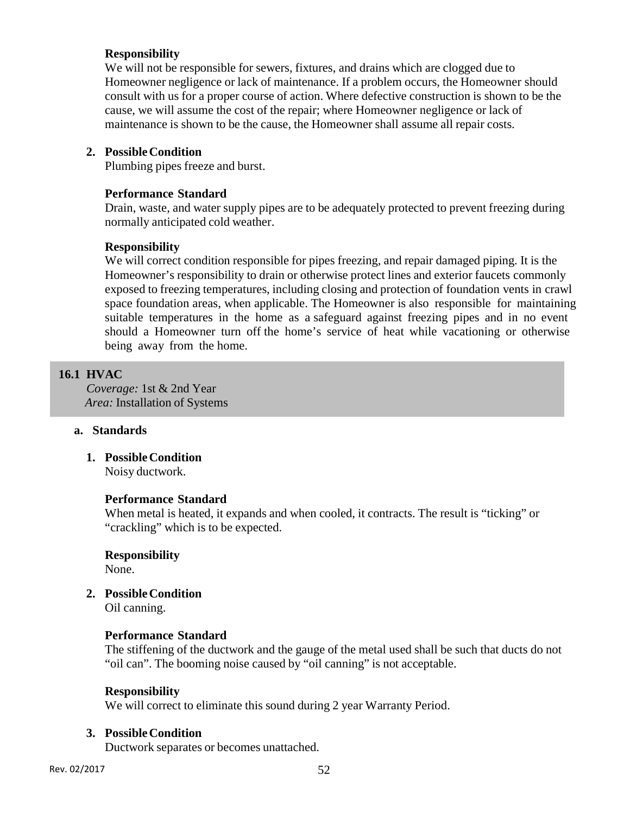## **Responsibility**

We will not be responsible for sewers, fixtures, and drains which are clogged due to Homeowner negligence or lack of maintenance. If a problem occurs, the Homeowner should consult with us for a proper course of action. Where defective construction is shown to be the cause, we will assume the cost of the repair; where Homeowner negligence or lack of maintenance is shown to be the cause, the Homeowner shall assume all repair costs.

## **2. Possible Condition**

Plumbing pipes freeze and burst.

## **Performance Standard**

Drain, waste, and water supply pipes are to be adequately protected to prevent freezing during normally anticipated cold weather.

## **Responsibility**

We will correct condition responsible for pipes freezing, and repair damaged piping. It is the Homeowner's responsibility to drain or otherwise protect lines and exterior faucets commonly exposed to freezing temperatures, including closing and protection of foundation vents in crawl space foundation areas, when applicable. The Homeowner is also responsible for maintaining suitable temperatures in the home as a safeguard against freezing pipes and in no event should a Homeowner turn off the home's service of heat while vacationing or otherwise being away from the home.

# **16.1 HVAC**

*Coverage:* 1st & 2nd Year *Area:* Installation of Systems

#### **a. Standards**

**1. Possible Condition**  Noisy ductwork.

#### **Performance Standard**

When metal is heated, it expands and when cooled, it contracts. The result is "ticking" or "crackling" which is to be expected.

#### **Responsibility**

None.

**2. Possible Condition** 

Oil canning.

#### **Performance Standard**

The stiffening of the ductwork and the gauge of the metal used shall be such that ducts do not "oil can". The booming noise caused by "oil canning" is not acceptable.

#### **Responsibility**

We will correct to eliminate this sound during 2 year Warranty Period.

#### **3. Possible Condition**

Ductwork separates or becomes unattached.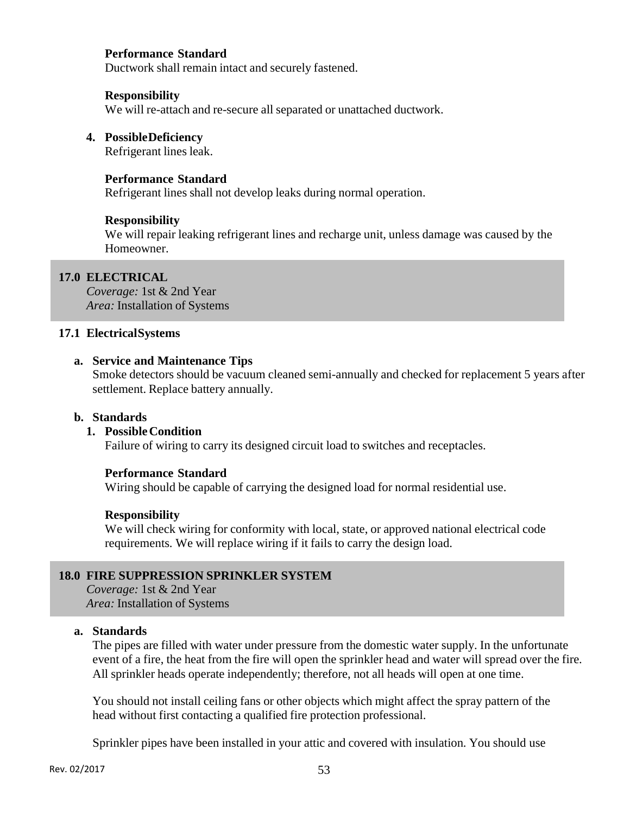#### **Performance Standard**

Ductwork shall remain intact and securely fastened.

#### **Responsibility**

We will re-attach and re-secure all separated or unattached ductwork.

#### **4. Possible Deficiency**

Refrigerant lines leak.

#### **Performance Standard**

Refrigerant lines shall not develop leaks during normal operation.

#### **Responsibility**

We will repair leaking refrigerant lines and recharge unit, unless damage was caused by the Homeowner.

#### **17.0 ELECTRICAL**

*Coverage:* 1st & 2nd Year *Area:* Installation of Systems

#### **17.1 Electrical Systems**

#### **a. Service and Maintenance Tips**

Smoke detectors should be vacuum cleaned semi-annually and checked for replacement 5 years after settlement. Replace battery annually.

#### **b. Standards**

#### **1. Possible Condition**

Failure of wiring to carry its designed circuit load to switches and receptacles.

#### **Performance Standard**

Wiring should be capable of carrying the designed load for normal residential use.

#### **Responsibility**

We will check wiring for conformity with local, state, or approved national electrical code requirements. We will replace wiring if it fails to carry the design load.

#### **18.0 FIRE SUPPRESSION SPRINKLER SYSTEM**

*Coverage:* 1st & 2nd Year *Area:* Installation of Systems

#### **a. Standards**

The pipes are filled with water under pressure from the domestic water supply. In the unfortunate event of a fire, the heat from the fire will open the sprinkler head and water will spread over the fire. All sprinkler heads operate independently; therefore, not all heads will open at one time.

You should not install ceiling fans or other objects which might affect the spray pattern of the head without first contacting a qualified fire protection professional.

Sprinkler pipes have been installed in your attic and covered with insulation. You should use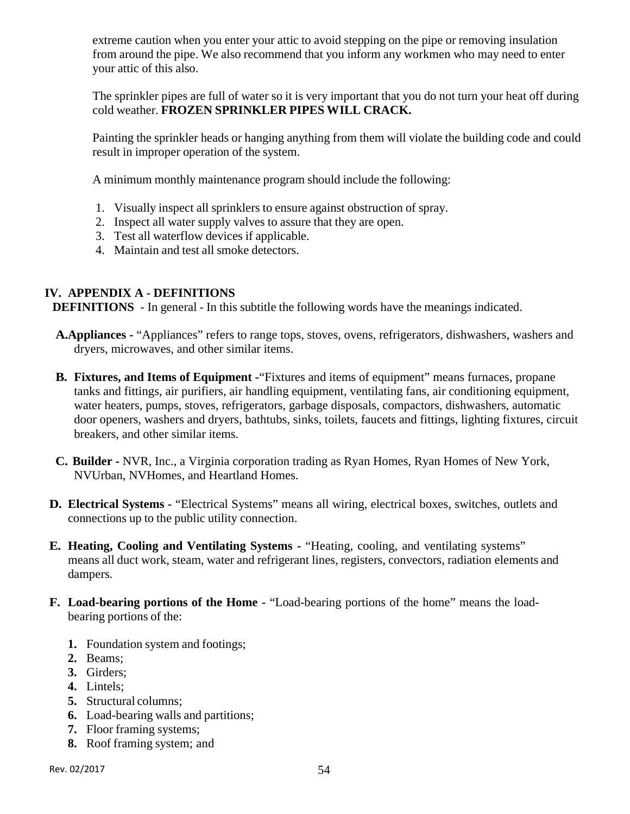extreme caution when you enter your attic to avoid stepping on the pipe or removing insulation from around the pipe. We also recommend that you inform any workmen who may need to enter your attic of this also.

The sprinkler pipes are full of water so it is very important that you do not turn your heat off during cold weather. **FROZEN SPRINKLER PIPES WILL CRACK.**

Painting the sprinkler heads or hanging anything from them will violate the building code and could result in improper operation of the system.

A minimum monthly maintenance program should include the following:

- 1. Visually inspect all sprinklers to ensure against obstruction of spray.
- 2. Inspect all water supply valves to assure that they are open.
- 3. Test all waterflow devices if applicable.
- 4. Maintain and test all smoke detectors.

# **IV. APPENDIX A - DEFINITIONS**

**DEFINITIONS** - In general - In this subtitle the following words have the meanings indicated.

- **A.Appliances** "Appliances" refers to range tops, stoves, ovens, refrigerators, dishwashers, washers and dryers, microwaves, and other similar items.
- **B. Fixtures, and Items of Equipment -**"Fixtures and items of equipment" means furnaces, propane tanks and fittings, air purifiers, air handling equipment, ventilating fans, air conditioning equipment, water heaters, pumps, stoves, refrigerators, garbage disposals, compactors, dishwashers, automatic door openers, washers and dryers, bathtubs, sinks, toilets, faucets and fittings, lighting fixtures, circuit breakers, and other similar items.
- **C. Builder -** NVR, Inc., a Virginia corporation trading as Ryan Homes, Ryan Homes of New York, NVUrban, NVHomes, and Heartland Homes.
- **D. Electrical Systems -** "Electrical Systems" means all wiring, electrical boxes, switches, outlets and connections up to the public utility connection.
- **E. Heating, Cooling and Ventilating Systems -** "Heating, cooling, and ventilating systems" means all duct work, steam, water and refrigerant lines, registers, convectors, radiation elements and dampers.
- **F. Load-bearing portions of the Home -** "Load-bearing portions of the home" means the loadbearing portions of the:
	- **1.** Foundation system and footings;
	- **2.** Beams;
	- **3.** Girders;
	- **4.** Lintels;
	- **5.** Structural columns;
	- **6.** Load-bearing walls and partitions;
	- **7.** Floor framing systems;
	- **8.** Roof framing system; and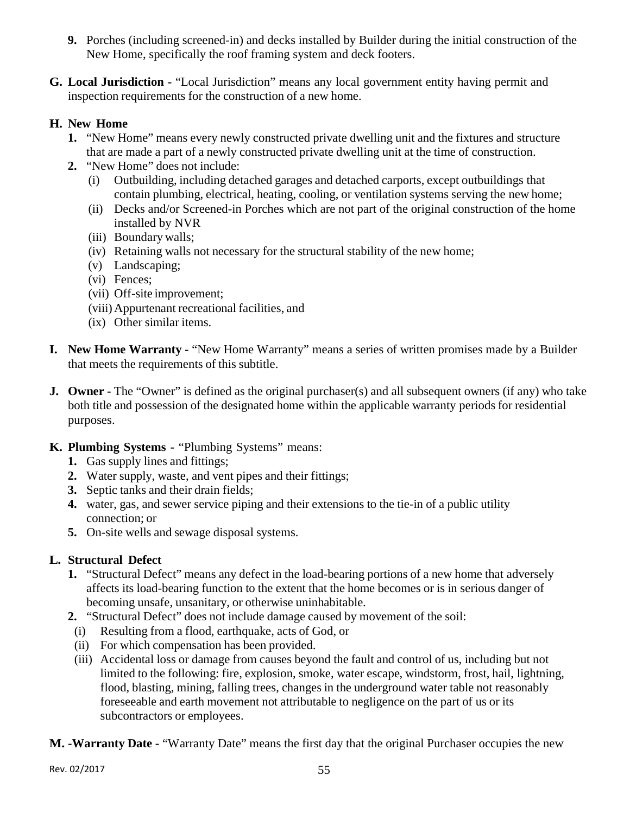- **9.** Porches (including screened-in) and decks installed by Builder during the initial construction of the New Home, specifically the roof framing system and deck footers.
- **G. Local Jurisdiction -** "Local Jurisdiction" means any local government entity having permit and inspection requirements for the construction of a new home.

# **H. New Home**

- **1.** "New Home" means every newly constructed private dwelling unit and the fixtures and structure that are made a part of a newly constructed private dwelling unit at the time of construction.
- **2.** "New Home" does not include:
	- (i) Outbuilding, including detached garages and detached carports, except outbuildings that contain plumbing, electrical, heating, cooling, or ventilation systems serving the new home;
	- (ii) Decks and/or Screened-in Porches which are not part of the original construction of the home installed by NVR
	- (iii) Boundary walls;
	- (iv) Retaining walls not necessary for the structural stability of the new home;
	- (v) Landscaping;
	- (vi) Fences;
	- (vii) Off-site improvement;
	- (viii) Appurtenant recreational facilities, and
	- (ix) Other similar items.
- **I. New Home Warranty -** "New Home Warranty" means a series of written promises made by a Builder that meets the requirements of this subtitle.
- **J. Owner** The "Owner" is defined as the original purchaser(s) and all subsequent owners (if any) who take both title and possession of the designated home within the applicable warranty periods for residential purposes.
- **K. Plumbing Systems -** "Plumbing Systems" means:
	- **1.** Gas supply lines and fittings;
	- **2.** Water supply, waste, and vent pipes and their fittings;
	- **3.** Septic tanks and their drain fields;
	- **4.** water, gas, and sewer service piping and their extensions to the tie-in of a public utility connection; or
	- **5.** On-site wells and sewage disposal systems.

# **L. Structural Defect**

- **1.** "Structural Defect" means any defect in the load-bearing portions of a new home that adversely affects its load-bearing function to the extent that the home becomes or is in serious danger of becoming unsafe, unsanitary, or otherwise uninhabitable.
- **2.** "Structural Defect" does not include damage caused by movement of the soil:
	- (i) Resulting from a flood, earthquake, acts of God, or
	- (ii) For which compensation has been provided.
	- (iii) Accidental loss or damage from causes beyond the fault and control of us, including but not limited to the following: fire, explosion, smoke, water escape, windstorm, frost, hail, lightning, flood, blasting, mining, falling trees, changes in the underground water table not reasonably foreseeable and earth movement not attributable to negligence on the part of us or its subcontractors or employees.

**M. -Warranty Date -** "Warranty Date" means the first day that the original Purchaser occupies the new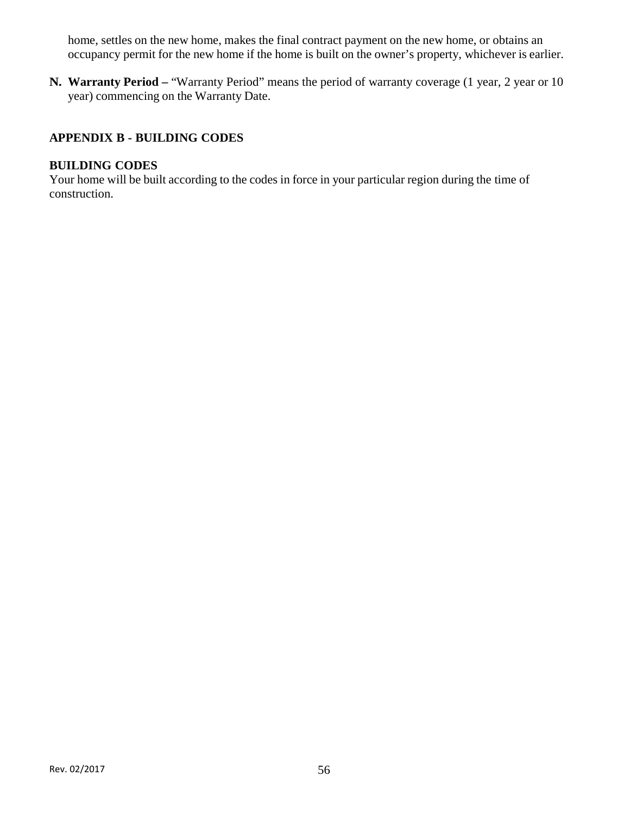home, settles on the new home, makes the final contract payment on the new home, or obtains an occupancy permit for the new home if the home is built on the owner's property, whichever is earlier.

**N. Warranty Period –** "Warranty Period" means the period of warranty coverage (1 year, 2 year or 10 year) commencing on the Warranty Date.

# **APPENDIX B - BUILDING CODES**

## **BUILDING CODES**

Your home will be built according to the codes in force in your particular region during the time of construction.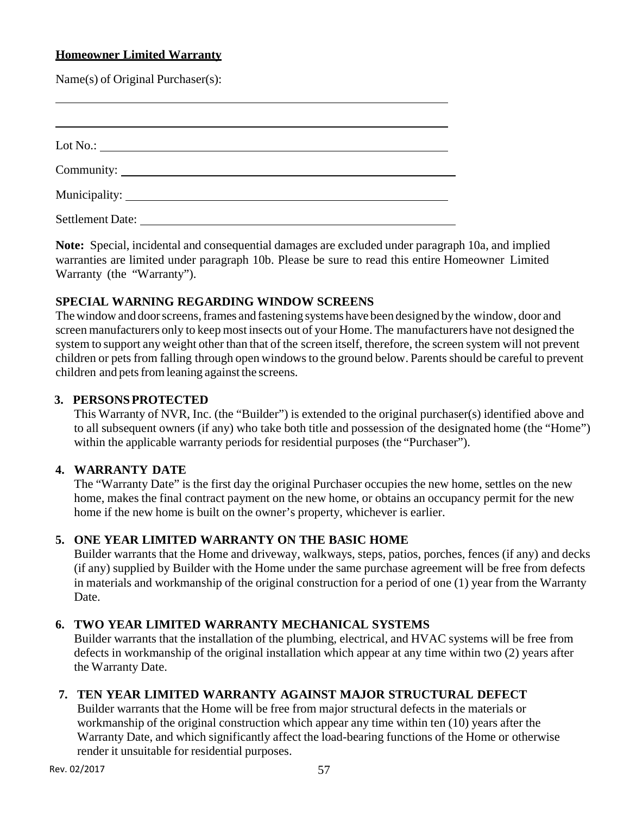# **Homeowner Limited Warranty**

Name(s) of Original Purchaser(s):

| Settlement Date: |  |  |
|------------------|--|--|

**Note:** Special, incidental and consequential damages are excluded under paragraph 10a, and implied warranties are limited under paragraph 10b. Please be sure to read this entire Homeowner Limited Warranty (the "Warranty").

## **SPECIAL WARNING REGARDING WINDOW SCREENS**

The window and door screens, frames and fastening systems have been designed by the window, door and screen manufacturers only to keep most insects out of your Home. The manufacturers have not designed the system to support any weight other than that of the screen itself, therefore, the screen system will not prevent children or pets from falling through open windows to the ground below. Parents should be careful to prevent children and pets from leaning against the screens.

## **3. PERSONS PROTECTED**

This Warranty of NVR, Inc. (the "Builder") is extended to the original purchaser(s) identified above and to all subsequent owners (if any) who take both title and possession of the designated home (the "Home") within the applicable warranty periods for residential purposes (the "Purchaser").

#### **4. WARRANTY DATE**

The "Warranty Date" is the first day the original Purchaser occupies the new home, settles on the new home, makes the final contract payment on the new home, or obtains an occupancy permit for the new home if the new home is built on the owner's property, whichever is earlier.

# **5. ONE YEAR LIMITED WARRANTY ON THE BASIC HOME**

Builder warrants that the Home and driveway, walkways, steps, patios, porches, fences (if any) and decks (if any) supplied by Builder with the Home under the same purchase agreement will be free from defects in materials and workmanship of the original construction for a period of one (1) year from the Warranty Date.

# **6. TWO YEAR LIMITED WARRANTY MECHANICAL SYSTEMS**

Builder warrants that the installation of the plumbing, electrical, and HVAC systems will be free from defects in workmanship of the original installation which appear at any time within two (2) years after the Warranty Date.

# **7. TEN YEAR LIMITED WARRANTY AGAINST MAJOR STRUCTURAL DEFECT**

Builder warrants that the Home will be free from major structural defects in the materials or workmanship of the original construction which appear any time within ten (10) years after the Warranty Date, and which significantly affect the load-bearing functions of the Home or otherwise render it unsuitable for residential purposes.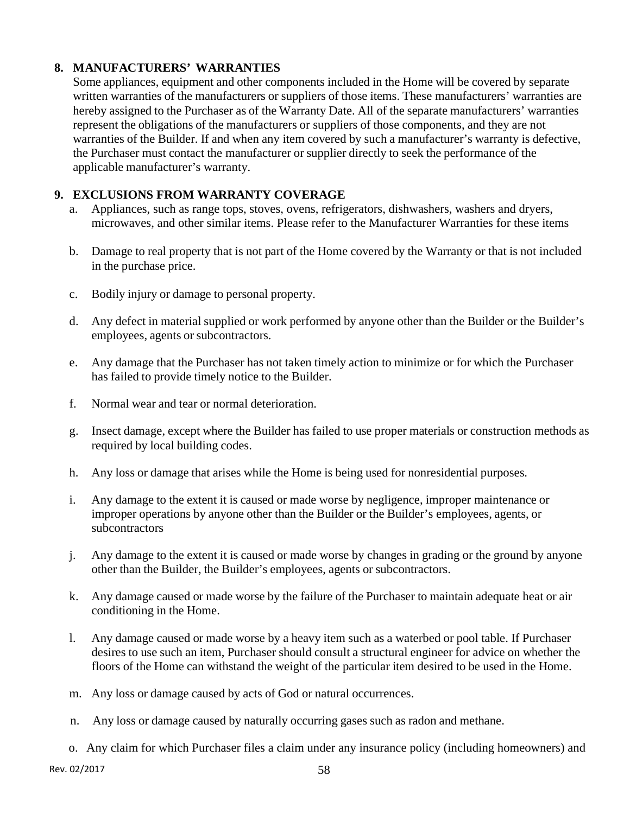# **8. MANUFACTURERS' WARRANTIES**

Some appliances, equipment and other components included in the Home will be covered by separate written warranties of the manufacturers or suppliers of those items. These manufacturers' warranties are hereby assigned to the Purchaser as of the Warranty Date. All of the separate manufacturers' warranties represent the obligations of the manufacturers or suppliers of those components, and they are not warranties of the Builder. If and when any item covered by such a manufacturer's warranty is defective, the Purchaser must contact the manufacturer or supplier directly to seek the performance of the applicable manufacturer's warranty.

# **9. EXCLUSIONS FROM WARRANTY COVERAGE**

- a. Appliances, such as range tops, stoves, ovens, refrigerators, dishwashers, washers and dryers, microwaves, and other similar items. Please refer to the Manufacturer Warranties for these items
- b. Damage to real property that is not part of the Home covered by the Warranty or that is not included in the purchase price.
- c. Bodily injury or damage to personal property.
- d. Any defect in material supplied or work performed by anyone other than the Builder or the Builder's employees, agents or subcontractors.
- e. Any damage that the Purchaser has not taken timely action to minimize or for which the Purchaser has failed to provide timely notice to the Builder.
- f. Normal wear and tear or normal deterioration.
- g. Insect damage, except where the Builder has failed to use proper materials or construction methods as required by local building codes.
- h. Any loss or damage that arises while the Home is being used for nonresidential purposes.
- i. Any damage to the extent it is caused or made worse by negligence, improper maintenance or improper operations by anyone other than the Builder or the Builder's employees, agents, or subcontractors
- j. Any damage to the extent it is caused or made worse by changes in grading or the ground by anyone other than the Builder, the Builder's employees, agents or subcontractors.
- k. Any damage caused or made worse by the failure of the Purchaser to maintain adequate heat or air conditioning in the Home.
- l. Any damage caused or made worse by a heavy item such as a waterbed or pool table. If Purchaser desires to use such an item, Purchaser should consult a structural engineer for advice on whether the floors of the Home can withstand the weight of the particular item desired to be used in the Home.
- m. Any loss or damage caused by acts of God or natural occurrences.
- n. Any loss or damage caused by naturally occurring gases such as radon and methane.
- o. Any claim for which Purchaser files a claim under any insurance policy (including homeowners) and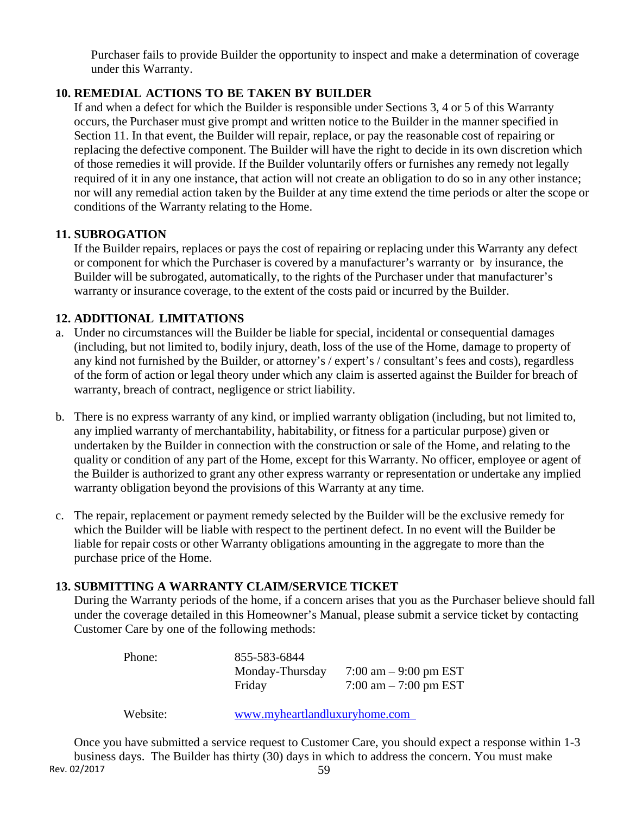Purchaser fails to provide Builder the opportunity to inspect and make a determination of coverage under this Warranty.

# **10. REMEDIAL ACTIONS TO BE TAKEN BY BUILDER**

If and when a defect for which the Builder is responsible under Sections 3, 4 or 5 of this Warranty occurs, the Purchaser must give prompt and written notice to the Builder in the manner specified in Section 11. In that event, the Builder will repair, replace, or pay the reasonable cost of repairing or replacing the defective component. The Builder will have the right to decide in its own discretion which of those remedies it will provide. If the Builder voluntarily offers or furnishes any remedy not legally required of it in any one instance, that action will not create an obligation to do so in any other instance; nor will any remedial action taken by the Builder at any time extend the time periods or alter the scope or conditions of the Warranty relating to the Home.

## **11. SUBROGATION**

If the Builder repairs, replaces or pays the cost of repairing or replacing under this Warranty any defect or component for which the Purchaser is covered by a manufacturer's warranty or by insurance, the Builder will be subrogated, automatically, to the rights of the Purchaser under that manufacturer's warranty or insurance coverage, to the extent of the costs paid or incurred by the Builder.

# **12. ADDITIONAL LIMITATIONS**

- a. Under no circumstances will the Builder be liable for special, incidental or consequential damages (including, but not limited to, bodily injury, death, loss of the use of the Home, damage to property of any kind not furnished by the Builder, or attorney's / expert's / consultant's fees and costs), regardless of the form of action or legal theory under which any claim is asserted against the Builder for breach of warranty, breach of contract, negligence or strict liability.
- b. There is no express warranty of any kind, or implied warranty obligation (including, but not limited to, any implied warranty of merchantability, habitability, or fitness for a particular purpose) given or undertaken by the Builder in connection with the construction or sale of the Home, and relating to the quality or condition of any part of the Home, except for this Warranty. No officer, employee or agent of the Builder is authorized to grant any other express warranty or representation or undertake any implied warranty obligation beyond the provisions of this Warranty at any time.
- c. The repair, replacement or payment remedy selected by the Builder will be the exclusive remedy for which the Builder will be liable with respect to the pertinent defect. In no event will the Builder be liable for repair costs or other Warranty obligations amounting in the aggregate to more than the purchase price of the Home.

#### **13. SUBMITTING A WARRANTY CLAIM/SERVICE TICKET**

During the Warranty periods of the home, if a concern arises that you as the Purchaser believe should fall under the coverage detailed in this Homeowner's Manual, please submit a service ticket by contacting Customer Care by one of the following methods:

| Phone:   | 855-583-6844                  |                         |
|----------|-------------------------------|-------------------------|
|          | Monday-Thursday               | 7:00 am $-$ 9:00 pm EST |
|          | Friday                        | 7:00 am $-$ 7:00 pm EST |
| Website: | www.myheartlandluxuryhome.com |                         |

Rev. 02/2017 59 Once you have submitted a service request to Customer Care, you should expect a response within 1-3 business days. The Builder has thirty (30) days in which to address the concern. You must make